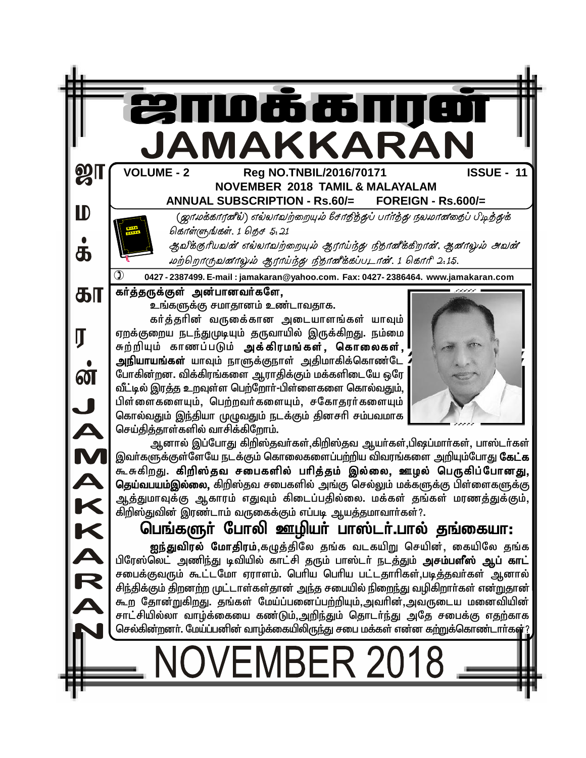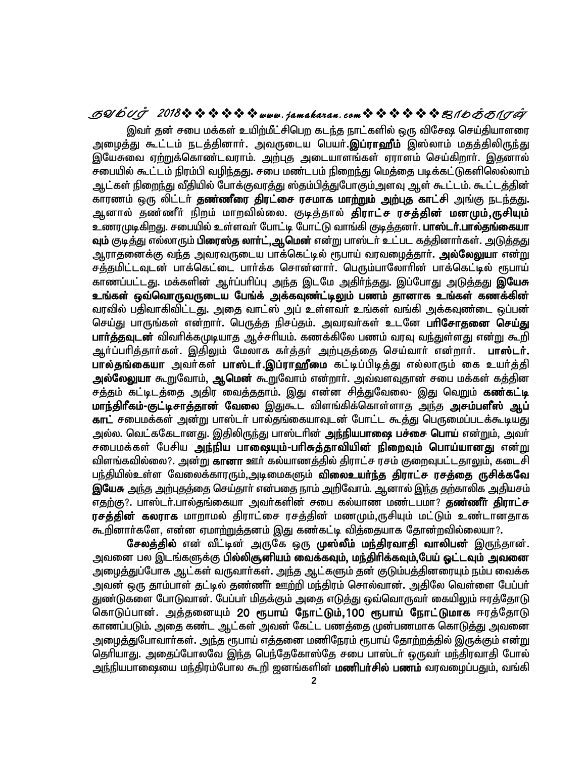### **SYmTo 2018www .jamakaran.c om\_ôUdLôWu**

இவர் தன் சபை மக்கள் உயிற்மீட்சிபெற கடந்த நாட்களில் ஒரு விசேஷ செய்தியாளரை அழைத்து கூட்டம் நடத்தினார். அவருடைய பெயர்.**இப்ராஹீம்** இஸ்லாம் மதத்திலி<u>ருந்து</u> இயேசுவை ஏற்றுக்கொண்டவராம். அற்புத அடையாளங்கள் ஏராளம் செய்கிறார். இதனால் சபையில் கூட்டம் நிரம்பி வழிந்தது. சபை மண்டபம் நிறைந்து மெத்தை படிக்கட்டுகளிலெல்லாம் ஆட்கள் நிறைந்து வீதியில் போக்குவரத்து ஸ்தம்பித்துபோகும்.அளவு ஆள் கூட்டம். கூட்டத்தின் <u>காரணம் ஒரு லிட்டர் **தண்ணீரை திரட்சை ரசமாக மாற்றும் அற்புத** காட்சி அங்கு நடந்தது.</u> அனால் தண்ணீர் நிறம் மாறவில்லை. குடித்தால் **திராட்ச ரசத்தின் மனமும்,ருசியும்** உணரமுடிகிறது. சபையில் உள்ளவா் போட்டி போட்டு வாங்கி குடித்தனா். **பாஸ்டா்.பால்தங்கையா வும்** குடித்து எல்லாரும் **பிரைஸ்த லாா்ட்,ஆமென்** என்று பாஸ்டா் உட்பட கத்தினாா்கள். அடுத்தது ஆராதனைக்கு வந்த அவரவருடைய பாக்கெட்டில் ரூபாய் வரவழைத்தார். **அல்லேலுயா** என்<u>று</u> சத்தமிட்டவுடன் பாக்கெட்டை பார்க்க சொன்னார். பெரும்பாலோரின் பாக்கெட்டில் ரூபாய் காணப்பட்டது. மக்களின் ஆர்ப்பரிப்பு <u>அந்</u>த இடமே <u>அதிர்ந்தது</u>. இப்போது <u>அடுத்தது</u> **இயேசு** உங்கள் ஒவ்வொருவருடைய பேங்க் அக்கவுண்ட்டிலும் பணம் தானாக உங்கள் கணக்கின் வரவில் பதிவாகிவிட்டது. அதை வாட்ஸ் அப் உள்ளவர் உங்கள் வங்கி அக்கவுண்டை ஒப்பன் செய்து பாருங்கள் என்றார். பெருத்த நிசப்தம். அவரவர்கள் உடனே **பரிசோதனை செய்து பார்த்தவுடன்** விவரிக்கமுடியாத ஆச்சரியம். கணக்கிலே பணம் வரவு வ<u>ந்த</u>ுள்ளது என்று கூறி ஆர்ப்பரித்தார்கள். இதிலும் மேலாக கர்த்தர் அற்புதத்தை செய்வார் என்றார். **பாஸ்டர்.** பால்தங்கையா அவர்கள் பாஸ்டர்.இப்ராஹீமை கட்டிப்பிடித்து எல்லாரும் கை உயர்த்தி அல்லேலுயா கூறுவோம், ஆமென் கூறுவோம் என்றார். அவ்வளவுதான் சபை மக்கள் கத்தின சத்தம் கட்டிடத்தை <u>அ</u>திர<sup>்</sup>வைத்ததாம். இது என்ன சித்துவேலை- இது வெறும் **கண்கட்டி** <mark>மாந்திரீகம்-குட்டிசாத்தான் வேலை</mark> இதுகூட விளங்கிக்கொள்ளாத <u>அந்</u>த **அசம்பளீஸ் ஆப் காட்** சபைமக்கள் அன்று பாஸ்டர் பால்தங்கையாவுடன் போட்ட கூத்து பெருமைப்படக்கூடியது அல்ல. வெட்ககேடானது. இதிலிருந்து பாஸ்டரின் **அந்நியபாலை பச்சை பொய்** என்றும், அவர் சபைமக்கள் பேசிய அந்நிய பா**ஷையும்-பரிசுத்தாவியின் நிறைவும் பொய்யானது** என்<u>று</u> விளங்கவில்லை?. அன்று **கானா** ஊர் கல்யாணத்தில் திராட்ச ரசம் குறைவுபட்டதாலும், கடைசி பந்தியில்உள்ள வேலைக்காரரும்,அடிமைகளும் **விலைஉயர்ந்த திராட்ச ரசத்தை ருசிக்கவே இயேசு** அந்த அற்புதத்தை செய்தாா் என்பதை நாம் அறிவோம். ஆனால் இந்த தற்காலிக அதியசம் எதற்கு?. பாஸ்டர்.பால்தங்கையா அவர்களின் சபை கல்யாண மண்டபமா? **தண்ணீா் திராட்ச ரசத்தின் கலராக** மாறாமல் திராட்சை ரசத்தின் மணமும்,ருசியும் மட்டும் உண்டானதாக <u>கூறி</u>னார்களே, என்ன ஏமா<u>ற்றுத்</u>தனம் இது கண்கட்டி வித்தையாக தோன்றவில்லையா?.

சேலத்தில் என் வீட்டின் அருகே ஒரு முஸ்லீம் மந்திரவாதி வாலிபன் இருந்தான். அவனை பல இடங்களுக்கு **பில்லிசூனியம் வைக்கவும், மந்திரிக்கவும்,பேய் ஓட்டவும் அவனை** அழைத்துப்போக ஆட்கள் வருவார்கள். அந்த ஆட்களும் தன் குடும்பத்தினரையும் நம்ப வைக்க அவன் ஒரு தாம்பாள் தட்டில் தண்ணீர் ஊற்றி மந்திரம் சொல்வான். அதிலே வெள்ளை பேப்பர் துண்டுகளை போடுவான். பேப்பா் மிதக்கும் அதை எடுத்து ஒவ்வொருவா் கையிலும் ஈரத்தோடு கொடுப்பான். <u>அத்</u>தனையும் 20 ரூ**பாய் நோட்டும்,100 ரூபாய் நோட்டுமாக** ஈரத்தோடு காணப்படும். அதை கண்ட ஆட்கள் அவன் கேட்ட பணத்தை முன்பணமாக கொடுத்து அவனை அழைத்துபோவார்கள். அந்த ரூபாய் எத்தனை மணிநேரம் ரூபாய் தோற்றத்தில் இருக்கும் என்று தெரியாது. அதைப்போலவே இந்த பெந்தேகோஸ்தே சபை பாஸ்டர் ஒருவர் மந்திரவாதி போல் அந்நியபாஷையை மந்திரம்போல கூறி ஜனங்களின் **மணிபா்சில் பணம்** வரவழைப்பதும், வங்கி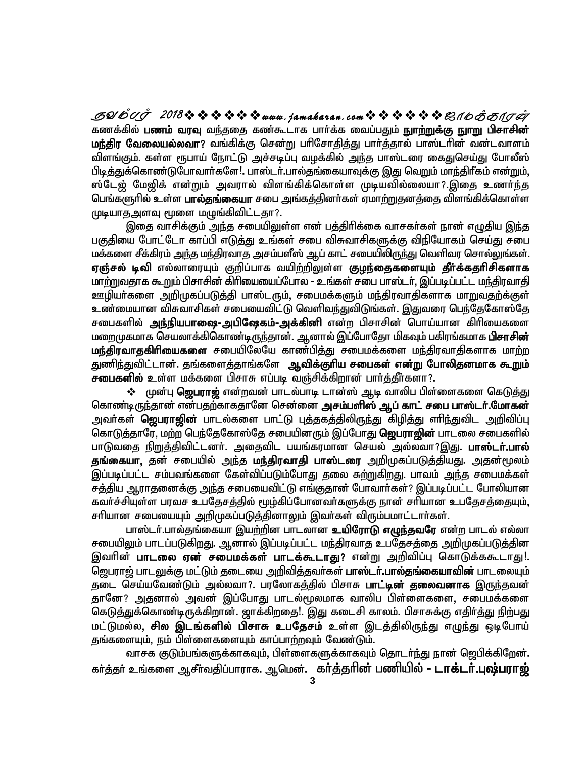கணக்கில் **பணம் வரவு** வந்ததை கண்கூடாக பார்க்க வைப்பதும் **நுாற்றுக்கு நுாறு பிசாசின்** மந்திர வேலையல்லவா? வங்கிக்கு சென்று பரிசோதித்து பார்த்தால் பாஸ்டரின் வன்டவாளம் விளங்கும். கள்ள ரூபாய் நோட்டு அச்சடிப்பு வழக்கில் அந்த பாஸ்டரை கைதுசெய்து போலீஸ் <u>பிடித்து</u>க்கொண்டுபோவார்களே!. பாஸ்டர்.பால்தங்கையாவுக்கு இது வெறும் மாந்திரீகம் என்றும், ஸ்டேஜ் மேஜிக் என்றும் அவரால் விளங்கிக்கொள்ள முடியவில்லையா?.இதை உணர்ந்த பெங்களுரில் உள்ள **பால்தங்கையா** சபை அங்கக்கினா்கள் ஏமாற்றுகனக்தை விளங்கிக்கொள்ள முடியாதஅளவு மூளை மழுங்கிவிட்டதா?.

இதை வாசிக்கும் அந்த சபையிலுள்ள என் பத்திரிக்கை வாசகர்கள் நான் எழுதிய இந்த பகுகியை போட்டோ காப்பி எடுக்கு உங்கள் சபை விசுவாசிகளுக்கு விநியோகம் செய்து சபை மக்களை சீக்கிரம் அந்த மந்திரவாத அசம்பளீஸ் ஆப் காட் சபையிலிருந்து வெளிவர சொல்லுங்கள். ஏஞ்சல் டிவி எல்லாரையும் குறிப்பாக வயிற்றிலுள்ள <mark>குழந்தைகளையும் தீர்க்கதரிசிகளாக</mark> மாற்றுவதாக கூறும் பிசாசின் கிரியையைப்போல - உங்கள் சபை பாஸ்டர், இப்படிப்பட்ட மந்திரவாகி ஊழியா்களை அறிமுகப்படுத்தி பாஸ்டரும், சபைமக்களும் மந்திரவாதிகளாக மாறுவதற்க்குள் உண்மையான விசுவாசிகள் சபையைவிட்டு வெளிவந்துவிடுங்கள். இதுவரை பெந்தேகோஸ்தே சபைகளில் **அந்நியபாஷை-அபிஷேகம்-அக்கினி** என்ற பிசாசின் பொய்யான கிரியைகளை மறைமுகமாக செயலாக்கிகொண்டிருந்தான். ஆனால் இப்போதோ மிகவும் பகிரங்கமாக **பிசாசின்** மந்திரவாதகிரியைகளை சபையிலேயே காண்பித்து சபைமக்களை மந்திரவாதிகளாக மாற்ற துணிந்துவிட்டான். தங்களைத்தாங்களே ஆ<mark>விக்குரிய சபைகள் என்று போலிதனமாக கூறும்</mark> **சபைகளில் உ**ள்ள மக்களை பிசாசு எப்படி வஞ்சிக்கிறான் பார்த்தீர்களா?.

❖ முன்பு **ஜெபராஜ்** என்றவன் பாடல்பாடி டான்ஸ் ஆடி வாலிப பிள்ளைகளை கெடுத்து கொண்டிருந்தான் என்பதற்காகதானே சென்னை **அசம்பளிஸ் ஆப் காட் சபை பாஸ்டர்.மோகன்** அவா்கள் **ஜெபராஜின்** பாடல்களை பாட்டு புத்தகத்திலிருந்து கிழித்து எாிந்துவிட அறிவிப்பு கொடுத்தாரே, மற்ற பெந்தேகோஸ்தே சபையினரும் இப்போது **ஜெபராஜின்** பாடலை சபைகளில் பாடுவதை <u>நிறுத்</u>திவிட்டனா். அதைவிட பயங்கரமான செயல் அல்லவா?இது. **பாஸ்டா்.பால்** தங்கையா, தன் சபையில் அந்த மந்திரவாதி பாஸ்டரை அறிமுகப்படுத்தியது. அதன்மூலம் இப்படிப்பட்ட சம்பவங்களை கேள்விப்படும்போது தலை சுற்றுகிறது. பாவம் அந்த சபைமக்கள் சத்திய ஆராதனைக்கு அந்த சபையைவிட்டு எங்குதான் போவார்கள்? இப்படிப்பட்ட போலியான கவர்ச்சியுள்ள பரவச உபதேசத்தில் மூழ்கிப்போனவர்களுக்கு நான் சரியான உபதேசத்தையும். சரியான சபையையும் அறிமுகப்படுத்தினாலும் இவர்கள் விரும்பமாட்டார்கள்.

பாஸ்டர்.பால்தங்கையா இயற்றின பாடலான **உயிரோடு எழுந்தவரே** என்ற பாடல் எல்லா சபையிலும் பாடப்படுகிறது. ஆனால் இப்படிப்பட்ட மந்திரவாத உபதேசத்தை அறிமுகப்படுத்தின இவரின் **பாடலை ஏன் சபைமக்கள் பாடக்கூடாது**? என்று அறிவிப்பு கொடுக்ககூடாது!. ஜெபராஜ் பாடலுக்கு மட்டும் தடையை அறிவித்தவா்கள் **பாஸ்டா்.பால்தங்கையாவின்** பாடலையும் தடை செய்யவேண்டும் அல்லவா?. பரலோகத்தில் பிசாசு **பாட்டின் தலைவனாக** இருந்தவன் தானே? அதனால் அவன் இப்போது பாடல்மூலமாக வாலிப பிள்ளைகளை, சபைமக்களை கெடுத்துக்கொண்டிருக்கிறான். ஜாக்கிறதை!. இது கடைசி காலம். பிசாசுக்கு எதிர்த்து நிற்பது மட்டுமல்ல, **சில இடங்களில் பிசாசு உபதேசம் உ**ள்ள இடத்திலிருந்து எழுந்து ஒடிபோய் தங்களையும், நம் பிள்ளைகளையும் காப்பாற்றவும் வேண்டும்.

வாசக குடும்பங்களுக்காகவும், பிள்ளைகளுக்காகவும் தொடர்ந்து நான் ஜெபிக்கிறேன். கர்த்தர் உங்களை ஆசீர்வதிப்பாராக. ஆமென். கர்த்தரின் பணியில் **- டாக்டர்.புஷ்பராஜ்**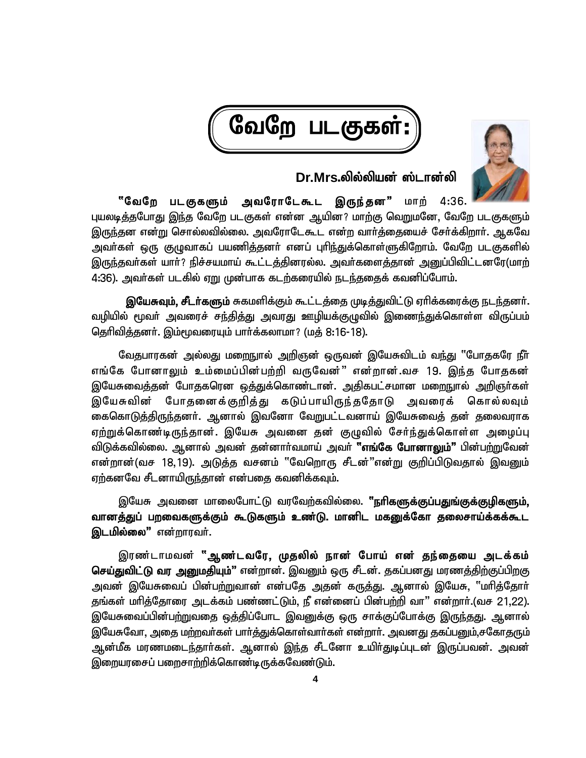



## **Dr.Mrs.ypy;ypad; ];lhd;yp**

<sup></sup>"வேறே படகுகளும் அவரோடேகூட இருந்தன" மாற் 4:36. புயலடித்தபோது இந்த வேறே படகுகள் என்ன ஆயின? மாற்கு வெறுமனே, வேறே படகுகளும் இருந்தன என்று சொல்லவில்லை. அவரோடேகூட என்ற வார்த்தையைச் சேர்க்கிறார். ஆகவே அவா்கள் ஒரு குழுவாகப் பயணித்தனா் எனப் புரிந்துக்கொள்ளுகிறோம். வேறே படகுகளில் இருந்தவர்கள் யார்? நிச்சயமாய் கூட்டத்தினரல்ல. அவர்களைத்தான் அனுப்பிவிட்டனரே(மாற் 4:36). அவர்கள் படகில் ஏறு முன்பாக கடற்கரையில் நடந்ததைக் கவனிப்போம்.

**இயேசுவும், சீடர்களும்** சுகமளிக்கும் கூட்டத்தை முடித்துவிட்டு ஏரிக்கரைக்கு நடந்தனர். வழியில் மூவா் அவரைச் சந்தித்து அவரது ஊழியக்குழுவில் இணை<u>ந்து</u>க்கொள்ள விருப்பம் தெரிவித்தனர். இம்மூவரையும் பார்க்கலாமா? (மத் 8:16-18).

வேதபாரகன் அல்லது மறைநுால் அறிஞன் ஒருவன் இயேசுவிடம் வந்து "போதகரே நீா் எங்கே போனாலும் உம்மைப்பின்பற்றி வருவேன்" என்றான்.வச 19. இந்த போதகன் இயேசுவைத்தன் போதகரென ஒத்துக்கொண்டான். அதிகபட்சமான ம<u>றைந</u>ூல் அறிஞர்கள் இயேசுவின் போதனைக்குறித்து கடுப்பாயிருந்ததோடு அவரைக் கொல்லவும் கைகொடுக்கிருந்தனர். ஆனால் இவனோ வேறுபட்டவனாய் இயேசுவைக் கன் கலைவராக ஏற்றுக்கொண்டிருந்தான். இயேசு அவனை தன் குழுவில் சேர்ந்துக்கொள்ள அழைப்பு விடுக்கவில்லை. ஆனால் அவன் தன்னாா்வமாய் அவா் **"எங்கே போனாலும்"** பின்ப<u>ா்ற</u>ுவேன் என்றான்(வச 18,19). அடுத்த வசனம் "வேறொரு சீடன்"என்று குறிப்பிடுவதால் இவனும் ஏற்கனவே சீடனாயிருந்தான் என்பதை கவனிக்கவும்.

இயேசு அவனை மாலைபோட்டு வரவேற்கவில்லை. **''நரிகளுக்குப்பதுங்குக்குழிகளும்,** வானத்துப் பறவைகளுக்கும் கூடுகளும் உண்டு. மானிட மகனுக்கோ தலைசாய்க்கக்கூட **இடமில்லை"** என்றாரவர்.

இரண்டாமவன் "ஆண்டவரே, முதலில் நான் போய் என் தந்தையை அடக்கம் **செய்துவிட்டு வர அனுமதியும்"** என்றான். இவனும் ஒரு சீடன். தகப்பனது மரணத்திற்குப்பிறகு அவன் இயேசுவைப் பின்ப<u>ற்று</u>வான் என்பதே அதன் கருத்து. ஆனால் இயேசு, "மரித்தோர் தங்கள் மரித்தோரை அடக்கம் பண்ணட்டும், நீ என்னைப் பின்பற்றி வா" என்றார்.(வச 21,22). இயேசுவைப்பின்ப<u>ற்று</u>வதை ஒத்திப்போட இவனுக்கு ஒரு சாக்குப்போக்கு இரு<u>ந்த</u>து. ஆனால் இயேசுவோ, அதை மற்றவர்கள் பார்த்துக்கொள்வார்கள் என்றார். அவனது தகப்பனும்,சகோதரும் ஆன்மீக மரணமடைந்தாா்கள். ஆனால் இந்த சீடனோ உயிா்துடிப்புடன் இருப்பவன். அவன் இறையரசைப் பறைசாற்றிக்கொண்டிருக்கவேண்டும்.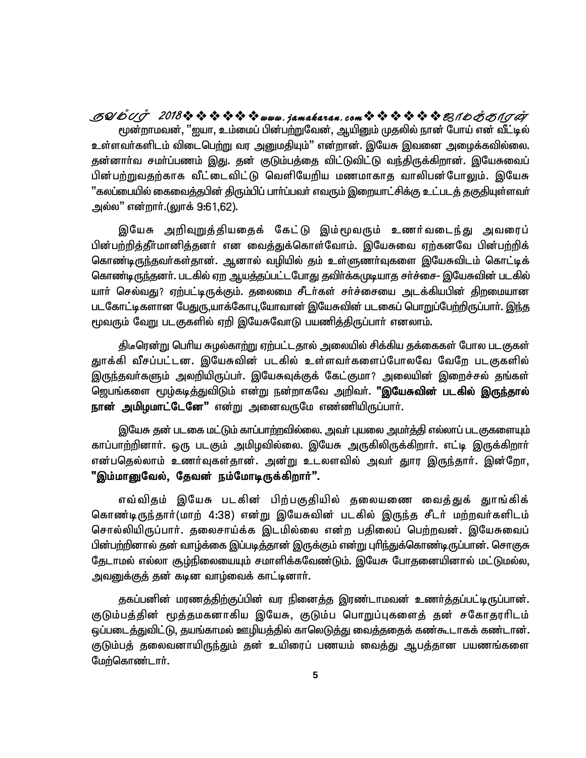மூன்றாமவன், ''ஐயா, உம்மைப் பின்பற்றுவேன், ஆயினும் முதலில் நான் போய் என் வீட்டில் உள்ளவா்களிடம் விடைபெற்று வர அனுமதியும்" என்றான். இயேசு இவனை அழைக்கவில்லை. தன்னாா்வ சமா்ப்பணம் இது. தன் குடும்பத்தை விட்டுவிட்டு வந்திருக்கிறான். இயேசுவைப் பின்பற்றுவதற்காக வீட்டைவிட்டு வெளியேறிய மணமாகாத வாலிபன்போலும். இயேசு  $\lq$ ்கலப்பையில் கைவைக்குபின் கிரும்பிப் பாா்ப்பவா் எவரும் இறையாட்சிக்கு உட்படக் குகுகியுள்ளவா் அல்ல" என்றார்.(லுாக் 9:61,62). **SYmTo 2018www .jamakaran.c om\_ôUdLôWu**

இயேசு அறிவுறுத்தியதைக் கேட்டு இம்மூவரும் உணர்வடைந்து அவரைப் பின்பற்றித்தீர்மானித்தனர் என வைத்துக்கொள்வோம். இயேசுவை ஏற்கனவே பின்பற்றிக் கொண்டிருந்தவா்கள்தான். ஆனால் வழியில் தம் உள்ளுணா்வுகளை இயேசுவிடம் கொட்டிக் கொண்டிருந்தனா். படகில் ஏற ஆயத்தப்பட்டபோது தவிா்க்கமுடியாத சா்ச்சை- இயேசுவின் படகில் யாா் செல்வது? ஏற்பட்டிருக்கும். தலைமை சீடா்கள் சா்ச்சையை அடக்கியபின் திறமையான படகோட்டிகளான பேதுரு,யாக்கோபு,யோவான் இயேசுவின் படகைப் பொறுப்பேற்றிருப்பார். இந்த மூவரும் வேறு படகுகளில் ஏறி இயேசுவோடு பயணித்திருப்பாா் எனலாம்.

திடீரென்று பெரிய சுழல்காற்று ஏற்பட்டதால் அலையில் சிக்கிய தக்கைகள் போல படகுகள் குாக்கி வீசப்பட்டன. இயேசுவின் படகில் உள்ளவர்களைப்போலவே வேறே படகுகளில் இருந்தவா்களும் அலறியிருப்பா். இயேசுவுக்குக் கேட்குமா? அலையின் இறைச்சல் தங்கள் ஜெபங்களை மூழ்கடி<u>த்து</u>விடும் என்று நன்றாகவே அறிவா். **''இயேசுவின் படகில் இருந்தால் நான் அமிழமாட்டேனே"** என்று அனைவருமே எண்ணியிருப்பார்.

இயேசு தன் படகை மட்டும் காப்பாற்றவில்லை. அவா் புயலை அமா்த்தி எல்லாப் படகுகளையும் காப்பாற்றினாா். ஒரு படகும் அமிழவில்லை. இயேசு அருகிலிருக்கிறாா். எட்டி இருக்கிறாா் என்பதெல்லாம் உணர்வுகள்தான். அன்று உடலளவில் அவர் துார இருந்தார். இன்றோ, "இம்மானுவேல், தேவன் நம்மோடிருக்கிறார்".

எவ்விதம் இயேசு படகின் பிற்பகுதியில் தலையணை வைத்துக் துாங்கிக் கொண்டிருந்தார்(மாற் 4:38) என்று இயேசுவின் படகில் இருந்த சீடர் மற்றவர்களிடம் சொல்லியிருப்பார். தலைசாய்க்க இடமில்லை என்ற பதிலைப் பெற்றவன். இயேசுவைப் பின்பற்றினால் தன் வாழ்க்கை இப்படித்தான் இருக்கும் என்று புரிந்துக்கொண்டிருப்பான். சொகுசு தேடாமல் எல்லா சூம்நிலையையும் சமாளிக்கவேண்டும். இயேசு போகுனையினால் மட்டுமல்ல, அவனுக்குத் தன் கடின வாழ்வைக் காட்டினார்.

தகப்பனின் மரணத்திற்குப்பின் வர நினைத்த இரண்டாமவன் உணர்த்தப்பட்டிருப்பான். குடும்பத்தின் மூத்தமகனாகிய இயேசு, குடும்ப பொறுப்புகளைத் தன் சகோதரரிடம் ஒப்படைத்துவிட்டு, தயங்காமல் ஊழியத்தில் காலெடுத்து வைத்ததைக் கண்கூடாகக் கண்டான். குடும்பத் தலைவனாயிருந்தும் தன் உயிரைப் பணயம் வைத்து ஆபத்தான பயணங்களை மேற்கொண்டார்.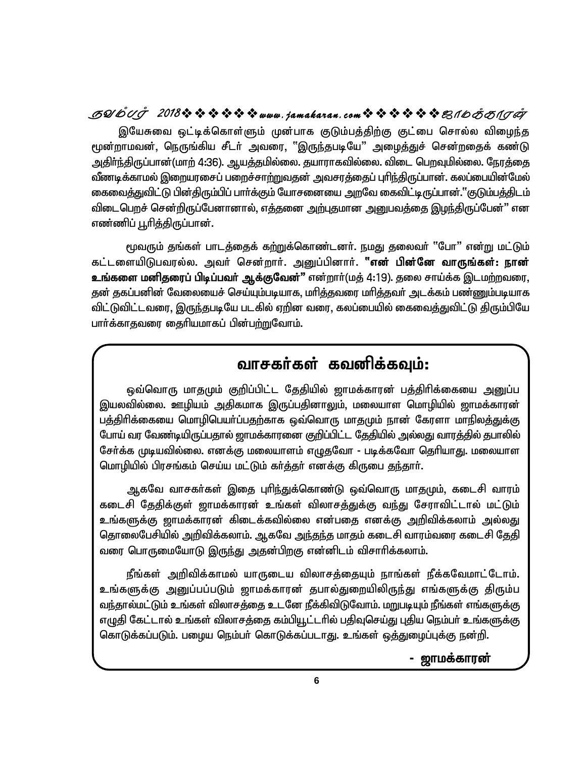## GUGUJ 2018なななななななwww.jamakaran.comなななななほ思イ6あ81.JA

இயேசுவை ஒட்டிக்கொள்ளும் முன்பாக குடும்பத்திற்கு குட்பை சொல்ல விழைந்த மூன்றாமவன், நெருங்கிய சீடர் அவரை, "இருந்தபடியே" அழைத்துச் சென்றதைக் கண்டு அதிா்ந்திருப்பான்(மாற் 4:36). ஆயத்தமில்லை. தயாராகவில்லை. விடை பெறவுமில்லை. நேரத்தை வீணடிக்காமல் இறையரசைப் பறைச்சா<u>ற்று</u>வதன் அவசரத்தைப் புரிந்திருப்பான். கலப்பையின்மேல் கைவைத்துவிட்டு பின்திரும்பிப் பாா்க்கும் யோசனையை அறவே கைவிட்டிருப்பான்.''குடும்பத்திடம் விடைபெறச் சென்றிருப்பேனானால், எத்தனை அற்புதமான அனுபவத்தை இழந்திருப்பேன்" என எண்ணிப் பூரித்திருப்பான்.

மூவரும் தங்கள் பாடத்தைக் கற்றுக்கொண்டனர். நமது தலைவர் "போ" என்று மட்டும் கட்டளையிடுபவரல்ல. அவர் சென்றார். அனுப்பினார். **"என் பின்னே வாருங்கள்: நான் உங்களை மனிதரைப் பிடிப்பவா் ஆக்குவேன்"** என்றாா்(மத் 4:19). தலை சாய்க்க இடமற்றவரை, தன் தகப்பனின் வேலையைச் செய்யும்படியாக, மரித்தவரை மரித்தவர் அடக்கம் பண்ணும்படியாக விட்டுவிட்டவரை, இருந்தபடியே படகில் ஏறின வரை, கலப்பையில் கைவைத்துவிட்டு திரும்பியே பார்க்காகவரை கைரியமாகப் பின்பற்றுவோம்.

## வாசகர்கள் கவனிக்கவும்:

ஒவ்வொரு மாதமும் குறிப்பிட்ட தேதியில் ஜாமக்காரன் பத்திரிக்கையை அனுப்ப இயலவில்லை. ஊழியம் அதிகமாக இருப்பதினாலும், மலையாள மொழியில் ஜாமக்காரன் பத்திரிக்கையை மொழிபெயா்ப்பதற்காக ஒவ்வொரு மாதமும் நான் கேரளா மாநிலத்துக்கு போய் வர வேண்டியிருப்பதால் ஜாமக்காரனை குறிப்பிட்ட தேதியில் அல்லது வாரத்தில் தபாலில் சேர்க்க முடியவில்லை. எனக்கு மலையாளம் எழுதவோ - படிக்கவோ தெரியாது. மலையாள மொழியில் பிரசங்கம் செய்ய மட்டும் கர்த்தர் எனக்கு கிருபை தந்தார்.

ஆகவே வாசகா்கள் இதை புாிந்துக்கொண்டு ஒவ்வொரு மாதமும், கடைசி வாரம் கடைசி தேதிக்குள் ஜாமக்காரன் உங்கள் விலாசத்துக்கு வந்து சேராவிட்டால் மட்டும் உங்களுக்கு ஜாமக்காரன் கிடைக்கவில்லை என்பதை எனக்கு அறிவிக்கலாம் அல்லது தொலைபேசியில் அறிவிக்கலாம். ஆகவே அந்தந்த மாதம் கடைசி வாரம்வரை கடைசி தேதி வரை பொருமையோடு இருந்து அதன்பிறகு என்னிடம் விசாரிக்கலாம்.

நீங்கள் அறிவிக்காமல் யாருடைய விலாசக்தையும் நாங்கள் நீக்கவேமாட்டோம். உங்களுக்கு அனுப்பப்படும் ஜாமக்காரன் தபால்துறையிலிருந்து எங்களுக்கு திரும்ப வந்தால்மட்டும் உங்கள் விலாசத்தை உடனே நீக்கிவிடுவோம். மறுபடியும் நீங்கள் எங்களுக்கு எழுதி கேட்டால் உங்கள் விலாசத்தை கம்பியூட்டரில் பதிவுசெய்து புதிய நெம்பர் உங்களுக்கு கொடுக்கப்படும். பழைய நெம்பர் கொடுக்கப்படாது. உங்கள் ஒத்துழைப்புக்கு நன்றி.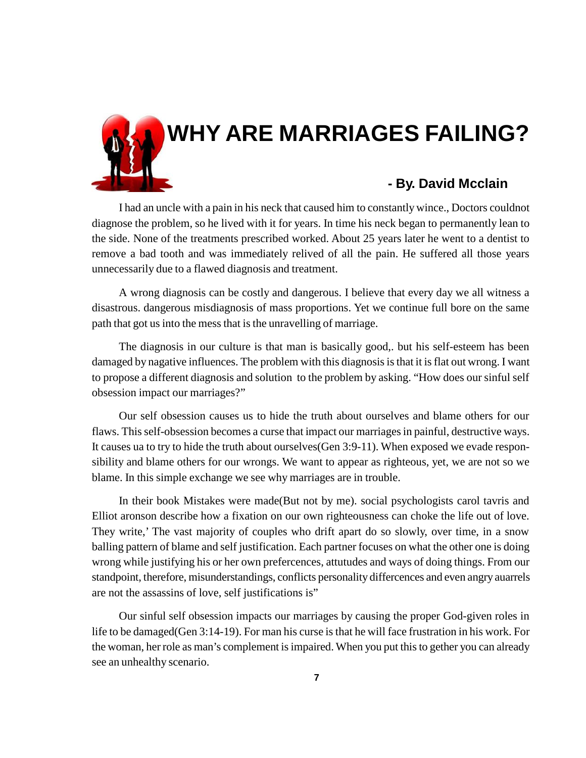

I had an uncle with a pain in his neck that caused him to constantly wince., Doctors couldnot diagnose the problem, so he lived with it for years. In time his neck began to permanently lean to the side. None of the treatments prescribed worked. About 25 years later he went to a dentist to remove a bad tooth and was immediately relived of all the pain. He suffered all those years unnecessarily due to a flawed diagnosis and treatment.

A wrong diagnosis can be costly and dangerous. I believe that every day we all witness a disastrous. dangerous misdiagnosis of mass proportions. Yet we continue full bore on the same path that got us into the mess that is the unravelling of marriage.

The diagnosis in our culture is that man is basically good,. but his self-esteem has been damaged by nagative influences. The problem with this diagnosis is that it is flat out wrong. I want to propose a different diagnosis and solution to the problem by asking. "How does our sinful self obsession impact our marriages?"

Our self obsession causes us to hide the truth about ourselves and blame others for our flaws. This self-obsession becomes a curse that impact our marriages in painful, destructive ways. It causes ua to try to hide the truth about ourselves(Gen 3:9-11). When exposed we evade responsibility and blame others for our wrongs. We want to appear as righteous, yet, we are not so we blame. In this simple exchange we see why marriages are in trouble.

In their book Mistakes were made(But not by me). social psychologists carol tavris and Elliot aronson describe how a fixation on our own righteousness can choke the life out of love. They write,' The vast majority of couples who drift apart do so slowly, over time, in a snow balling pattern of blame and self justification. Each partner focuses on what the other one is doing wrong while justifying his or her own prefercences, attutudes and ways of doing things. From our standpoint, therefore, misunderstandings, conflicts personality differcences and even angry auarrels are not the assassins of love, self justifications is"

Our sinful self obsession impacts our marriages by causing the proper God-given roles in life to be damaged(Gen 3:14-19). For man his curse is that he will face frustration in his work. For the woman, her role as man's complement is impaired. When you put this to gether you can already see an unhealthy scenario.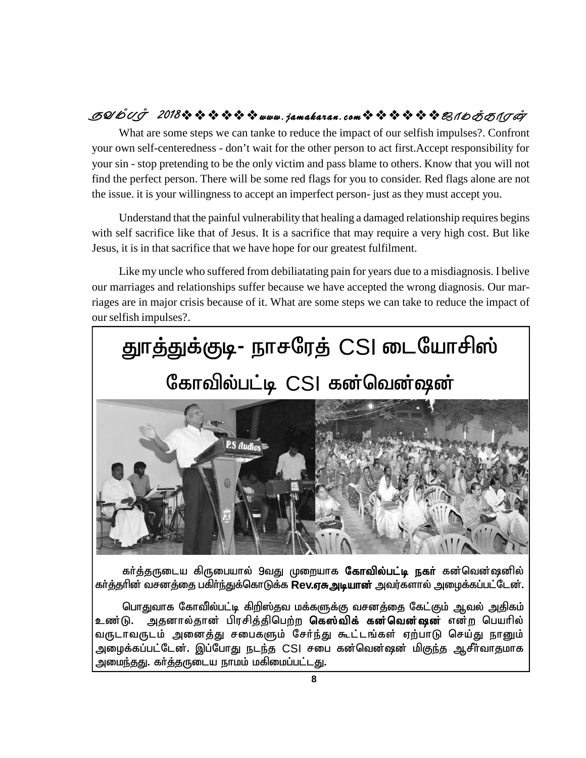## $B$  *SQ(b`C)^ 2018*☆☆☆☆☆☆<sub>www.jamakaran.com☆☆☆☆☆☆ & 16*000015 CO*</sub>

What are some steps we can tanke to reduce the impact of our selfish impulses?. Confront your own self-centeredness - don't wait for the other person to act first.Accept responsibility for your sin - stop pretending to be the only victim and pass blame to others. Know that you will not find the perfect person. There will be some red flags for you to consider. Red flags alone are not the issue. it is your willingness to accept an imperfect person- just as they must accept you.

Understand that the painful vulnerability that healing a damaged relationship requires begins with self sacrifice like that of Jesus. It is a sacrifice that may require a very high cost. But like Jesus, it is in that sacrifice that we have hope for our greatest fulfilment.

Like my uncle who suffered from debiliatating pain for years due to a misdiagnosis. I belive our marriages and relationships suffer because we have accepted the wrong diagnosis. Our marriages are in major crisis because of it. What are some steps we can take to reduce the impact of our selfish impulses?.



கர்த்தருடைய கிருபையால் 9வது முறையாக **கோவில்பட்டி நகர்** கன்வென்ஷனில் கர்த்தரின் வசனத்தை பகிர்ந்துக்கொடுக்க **Rev.ஏசு அடியான்** அவர்களால் அழைக்கப்பட்டேன்.

பொதுவாக கோவில்பட்டி கிறிஸ்தவ மக்களுக்கு வசனத்தை கேட்கும் ஆவல் அதிகம் உண்டு. அதனால்தான் பிரசித்திபெற்ற **கெஸ்விக் கன்வென்ஷன்** என்ற பெயரில் வருடாவருடம் அனைத்து சபைகளும் சேர்ந்து கூட்டங்கள் ஏற்பாடு செய்து நானும் அழைக்கப்பட்டேன். இப்போது நடந்த CSI சபை கன்வென்ஷன் மி<u>குந்</u>த ஆசீர்வாதமாக அமைந்தது. கா்த்தருடைய நாமம் மகிமைப்பட்ட<u>த</u>ு.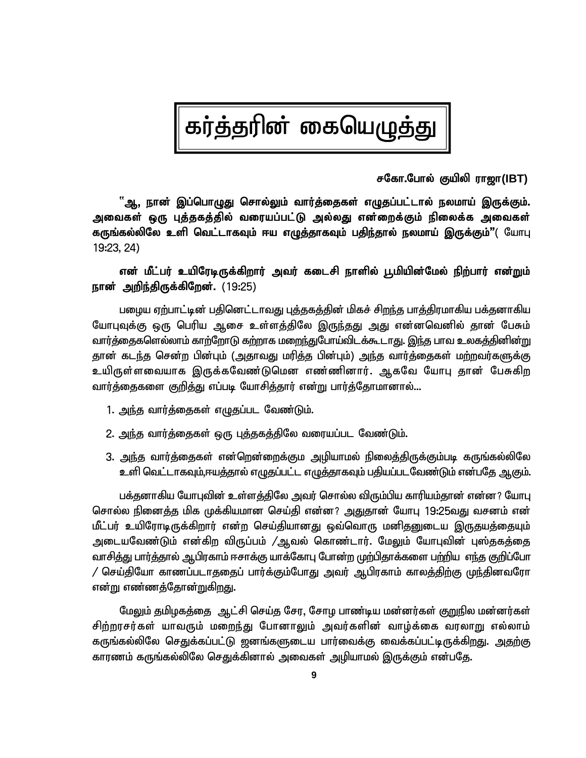# கர்த்தரின் கையெழுத்து

 **rNfh.Nghy; Fapyp uh[h(IBT)**

்ஆ, நான் இப்பொழுது சொல்லும் வார்த்தைகள் எழுதப்பட்டால் நலமாய் இருக்கும். அவைகள் ஒரு புத்தகத்தில் வரையப்பட்டு அல்லது என்றைக்கும் நிலைக்க அவைகள் **கருங்கல்லிலே உளி வெட்டாகவும் ஈய எழுத்தாகவும் பதிந்தால் நலமாய் இருக்கும்"( யோபு** 19:23, 24)

### என் மீட்பர் உயிரேடிருக்கிறார் அவர் கடைசி நாளில் பூமியின்மேல் நிற்பார் என<u>்ற</u>ும் நான் அறிந்திருக்கிறேன். (19:25)

பழைய ஏற்பாட்டின் பதினெட்டாவது புத்தகத்தின் மிகச் சிறந்த பாத்திரமாகிய பக்தனாகிய யோபுவுக்கு ஒரு பெரிய ஆசை உள்ளத்திலே இருந்தது அது என்னவெனில் தான் பேசும் வார்த்தைகளெல்லாம் காற்றோடு கற்றாக மறைந்துபோய்விடக்கூடாது. <u>இந்</u>த பாவ உலகத்தினின்று தான் கடந்த சென்ற பின்பும் (அதாவது மரித்த பின்பும்) அந்த வார்த்தைகள் மற்றவர்களுக்கு உயிருள்ளவையாக இருக்கவேண்டுமென எண்ணினார். ஆகவே யோபு தான் பேசுகிற வார்க்கைகளை குறிக்கு எப்படி யோசிக்கார் என்று பார்க்கோமானால்...

- 1. அந்த வார்த்தைகள் எழுதப்பட வேண்டும்.
- 2. அந்த வார்த்தைகள் ஒரு புத்தகத்திலே வரையப்பட வேண்டும்.
- 3. <u>அந்</u>த வார்த்தைகள் என்றென்றைக்கும அழியாமல் நிலைத்திருக்கும்படி கருங்கல்லிலே உளி வெட்டாகவும்,ஈயத்தால் எழுதப்பட்ட எழுத்தாகவும் பதியப்படவேண்டும் என்பதே ஆகும்.

பக்குனாகிய யோபுவின் உள்ளக்கிலே அவர் சொல்ல விரும்பிய காரியம்கான் என்ன? யோபு சொல்ல நினைத்த மிக முக்கியமான செய்தி என்ன? அதுதான் யோபு 19:25வது வசனம் என் மீட்பர் உயிரோடிருக்கிறார் என்ற செய்தியானது ஒவ்வொரு மனிதனுடைய இருதயத்தையும் அடையவேண்டும் என்கிற விருப்பம் /ஆவல் கொண்டார். மேலும் யோபுவின் புஸ்தகத்தை வாசித்து பார்த்தால் ஆபிரகாம் ஈசாக்கு யாக்கோபு போன்ற முற்பிதாக்களை பற்றிய எந்த குறிப்போ  $\prime$  செய்தியோ காணப்படாததைப் பார்க்கும்போது அவர் ஆபிரகாம் காலத்திற்கு முந்தினவரோ <u>என்று</u> எண்ணத்தோன்றுகிறது.

மேலும் தமிழகத்தை ஆட்சி செய்த சேர, சோழ பாண்டிய மன்னர்கள் குறுநில மன்னர்கள் சிற்றரசர்கள் யாவரும் மறைந்து போனாலும் அவர்களின் வாழ்க்கை வரலாறு எல்லாம் கருங்கல்லிலே செதுக்கப்பட்டு ஜனங்களுடைய பார்வைக்கு வைக்கப்பட்டிருக்கிறது. அதற்கு காரணம் கருங்கல்லிலே செதுக்கினால் அவைகள் அழியாமல் இருக்கும் என்பதே.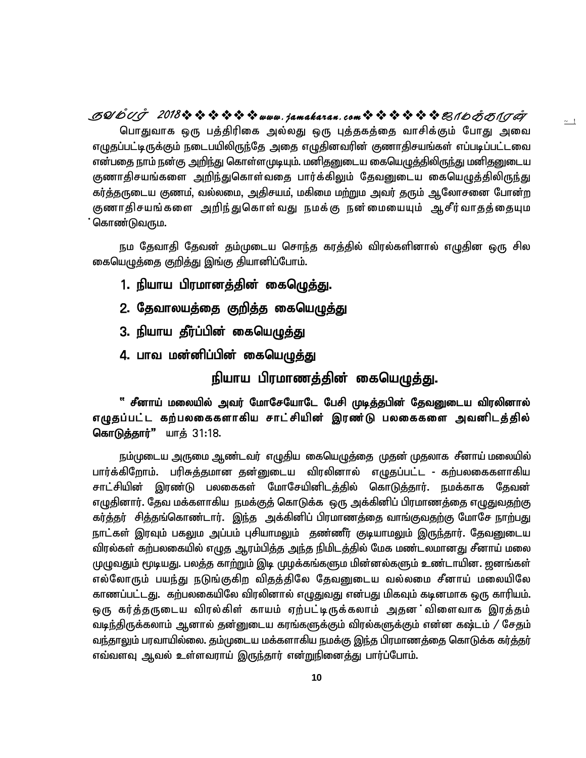பொதுவாக ஒரு பத்திரிகை அல்லது ஒரு புத்தகத்தை வாசிக்கும் போது அவை எழுதப்பட்டிருக்கும் நடைபயிலிருந்தே அதை எழுதினவரின் குணாதிசயங்கள் எப்படிப்பட்டவை என்பதை நாம் நன்கு அறிந்து கொள்ளமுடியும். மனிதனுடைய கையெழுத்திலிருந்து மனிதனுடைய குணாதிசயங்களை அறிந்துகொள்வதை பார்க்கிலும் தேவனுடைய கையெழுத்திலிருந்து கர்த்தருடைய குணம், வல்லமை, அதிசயம், மகிமை மற்றும அவர் தரும் ஆலோசனை போன்ற குணாதிசயங்களை அறிந்துகொள்வது நமக்கு நன்மையையும் ஆசீர்வாதத்தையும கொண்டுவரும $.$ **SYmTo 2018www .jamakaran.c om\_ôUdLôWu**

 $\sim$   $\frac{1}{2}$ 

நம தேவாதி தேவன் தம்முடைய சொந்த கரத்தில் விரல்களினால் எழுதின ஒரு சில கையெழுத்தை குறித்து இங்கு தியானிப்போம்.

- 1. நியாய பிரமானத்தின் கைம<u>ெத்த</u>ு.
- 2. தேவாலயத்தை குறித்த கையெழுத்து
- 3. நியாய தீர்ப்பின் கையெழுத்து
- 4. பாவ மன்னிப்பின் கையெழுத்து

நியாய பிரமாணத்தின் கையெழுத்து.

<sup>் சீ</sup>னாய் மலையில் அவர் மோசேயோடே பேசி முடித்தபின் தேவனுடைய விரலினால் எழுதப்பட்ட கற்பலகைகளாகிய சாட்சியின் இரண்டு பலகைகளை அவனிடத்தில் **கொடுக்கார்"** யாக் 31:18.

நம்முடைய அருமை ஆண்டவர் எழுதிய கையெழுத்தை முதன் முதலாக சீனாய் மலையில் பார்க்கிறோம். பரிசுத்தமான தன்னுடைய விரலினால் எழுதப்பட்ட - கற்பலகைகளாகிய சாட்சியின் இரண்டு பலகைகள் மோசேயினிடத்தில் கொடுத்தார். நமக்காக தேவன் எழுதினார். தேவ மக்களாகிய நமக்குத் கொடுக்க ஒரு அக்கினிப் பிரமாணத்தை எழுதுவதற்கு கர்த்தர் சித்தங்கொண்டார். இந்த அக்கினிப் பிரமாணத்தை வாங்குவதற்கு மோசே நாற்பது நாட்கள் இரவும் பகலும அப்பம் பசியாமலும் குண்ணீர் குடியாமலும் இருந்தார். கேவனுடைய விரல்கள் கற்பலகையில் எழுத ஆரம்பித்த அந்த நிமிடத்தில் மேக மண்டலமானது சீனாய் மலை முழுவதும் மூடியது. பலத்த காற்றும் இடி முழக்கங்களும மின்னல்களும் உண்டாயின. ஜனங்கள் எல்லோரும் பயந்து நடுங்குகிற விதத்திலே தேவனுடைய வல்லமை சீனாய் மலையிலே காணப்பட்டது. கற்பலகையிலே விரலினால் எழுதுவது என்பது மிகவும் கடினமாக ஒரு காரியம். ஒரு கர்த்தருடைய விரல்கிள் காயம் ஏற்பட்டிருக்கலாம் அதன விளைவாக இரத்தம் வடிந்திருக்கலாம் ஆனால் தன்னுடைய கரங்களுக்கும் விரல்களுக்கும் என்ன கஷ்டம் / சேதம் வந்தாலும் பரவாயில்லை. தம்முடைய மக்களாகிய நமக்கு இந்த பிரமாணத்தை கொடுக்க கர்த்தர் எவ்வளவு ஆவல் உள்ளவராய் இருந்தார் என்றுநினைத்து பார்ப்போம்.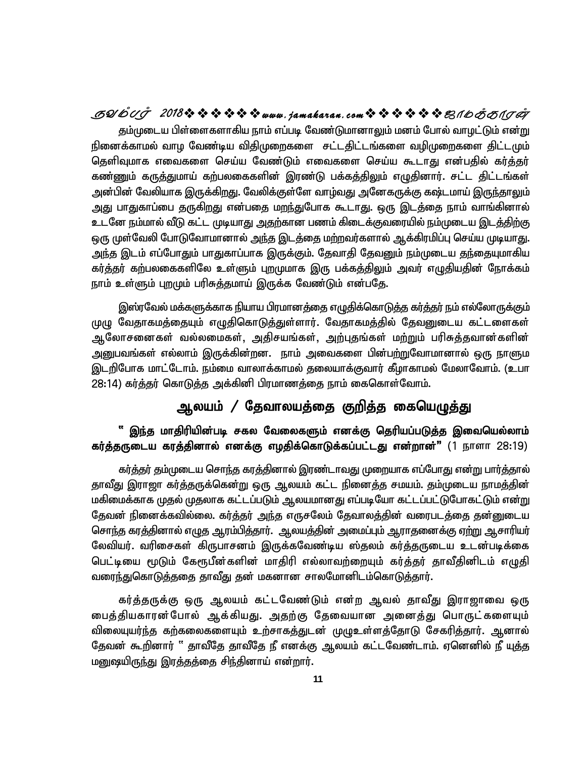### **SYmTo 2018www .jamakaran.c om\_ôUdLôWu**

தம்முடைய பிள்ளைகளாகிய நாம் எப்படி வேண்டுமானாலும் மனம் போல் வாழட்டும் என்று நினைக்காமல் வாழ வேண்டிய விதிமுறைகளை சட்டதிட்டங்களை வழிமுறைகளை திட்டமும் தெளிவுமாக எவைகளை செய்ய வேண்டும் எவைகளை செய்ய கூடாது என்பதில் கர்த்தர் கண்ணும் கருத்துமாய் கற்பலகைகளின் இரண்டு பக்கத்திலும் எழுதினார். சட்ட திட்டங்கள் அன்பின் வேலியாக இருக்கிறது. வேலிக்குள்ளே வாழ்வது அனேகருக்கு கஷ்டமாய் இ<u>ருந்</u>தாலும் அது பாதுகாப்பை தருகிறது என்பதை மறந்துபோக கூடாது. ஒரு இடத்தை நாம் வாங்கினால் உடனே நம்மால் வீடு கட்ட முடியாது அதற்கான பணம் கிடைக்குவரையில் நம்முடைய இடத்திற்கு ஒரு முள்வேலி போடுவோமானால் <u>அந்த</u> இடத்தை மற்றவர்களால் ஆக்கிரமிப்பு செய்ய முடியாது. அந்த இடம் எப்போதும் பாதுகாப்பாக இருக்கும். தேவாதி தேவனும் நம்முடைய தந்தையுமாகிய கர்த்தர் கற்பலகைகளிலே உள்ளும் புறமுமாக இரு பக்கத்திலும் அவர் எழுதியதின் நோக்கம் நாம் உள்ளும் புறமும் பரிசுத்தமாய் இருக்க வேண்டும் என்பதே.

இஸ்ரவேல் மக்களுக்காக நியாய பிரமானத்தை எழுதிக்கொடுத்த கர்த்தர் நம் எல்லோருக்கும் முழு வேதாகமத்தையும் எழுதிகொடுத்துள்ளார். வேதாகமத்தில் தேவனுடைய கட்டளைகள் <u>ஆ</u>லோசனைகள் வல்லமைகள், அகிசயங்கள், அற்புகங்கள் மற்றும் பரிசுக்கவான்களின் அனுபவங்கள் எல்லாம் இருக்கின்றன. நாம் அவைகளை பின்பற்றுவோமானால் ஒரு நாளும இடறிபோக மாட்டோம். நம்மை வாலாக்காமல் தலையாக்குவார் கீழாகாமல் மேலாவோம். (உபா 28:14) கர்த்தர் கொடுத்த அக்கினி பிரமாணத்தை நாம் கைகொள்வோம்.

## ஆலயம் / தேவாலயத்தை குறித்த கையெழுத<u>்து</u>

### " இந்த மாதிரியின்படி சகல வேலைகளும் எனக்கு தெரியப்படுத்த இவையெல்லாம் **கர்த்தருடைய கரத்தினால் எனக்கு எழதிக்கொடுக்கப்பட்டது என்றான்" (1** நாளா 28:19)

கர்த்தர் தம்முடைய சொந்த கரத்தினால் இரண்டாவது முறையாக எப்போது என்று பார்த்தால் தாவீது இராஜா கர்த்தருக்கென்று ஒரு ஆலயம் கட்ட நினைத்த சமயம். தம்முடைய நாமத்தின் மகிமைக்காக முதல் முதலாக கட்டப்படும் ஆலயமானது எப்படியோ கட்டப்பட்டுபோகட்டும் என்று தேவன் நினைக்கவில்லை. கர்த்தர் அந்த எருசலேம் தேவாலத்தின் வரைபடத்தை தன்னுடைய சொந்த கரத்தினால் எழுத ஆரம்பித்தார். ஆலயத்தின் அமைப்பும் ஆராதனைக்கு ஏற்று ஆசாரியர் லேவியர். வரிசைகள் கிருபாசனம் இருக்கவேண்டிய ஸ்தலம் கர்த்தருடைய உடன்படிக்கை பெட்டியை மூடும் கேரூபீன்களின் மாதிரி எல்லாவற்றையும் கர்த்தர் தாவீதினிடம் எழுதி வரை<u>ந்து</u>கொடுத்ததை தாவீது தன் மகனான சாலமோனிடம்கொடுத்தார்.

கர்த்தருக்கு ஒரு ஆலயம் கட்டவேண்டும் என்ற ஆவல் தாவீது இராஜாவை ஒரு பைத்தியகாரன்போல் ஆக்கியது. அதற்கு தேவையான அனைத்து பொருட்களையும் விலையுயர்ந்த கற்கலைகளையும் உற்சாகத்துடன் முழுஉள்ளத்தோடு சேகரித்தார். ஆனால் தேவன் கூறினார் " தாவீதே தாவீதே நீ எனக்கு ஆலயம் கட்டவேண்டாம். ஏனெனில் நீ யுத்த மனுஷயிருந்து இரத்தத்தை சிந்தினாய் என்றார்.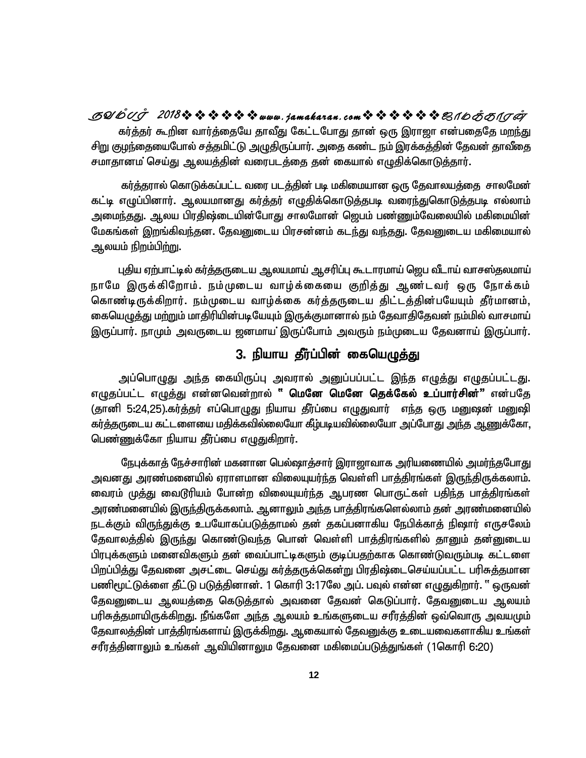கர்த்தர் கூறின வார்த்தையே தாவீது கேட்டபோது தான் ஒரு இராஜா என்பதைதே மறந்து சிறு குழந்தையைபோல் சத்தமிட்டு அழுதிருப்பார். அதை கண்ட நம் இரக்கத்தின் தேவன் தாவீதை சமாதானம் செய்து ஆலயத்தின் வரைபடத்தை தன் கையால் எழுதிக்கொடுத்தார். **SYmTo 2018www .jamakaran.c om\_ôUdLôWu**

கர்த்தரால் கொடுக்கப்பட்ட வரை படத்தின் படி மகிமையான ஒரு தேவாலயத்தை சாலமேன் கட்டி எழுப்பினார். ஆலயமானது கர்த்தர் எழுதிக்கொடுத்தபடி வரைந்துகொடுத்தபடி எல்லாம் அமை<u>ந்தது</u>. ஆலய பிரதிஷ்டையின்போது சாலமோன் ஜெபம் பண்ணும்வேலையில் மகிமையின் மேகங்கள் இறங்கிவந்தன. தேவனுடைய பிரசன்னம் கடந்து வந்தது. தேவனுடைய மகிமையால் ஆலயம் நிறம்பி<u>ற்று</u>.

புதிய ஏற்பாட்டில் கர்த்தருடைய ஆலயமாய் ஆசரிப்பு கூடாரமாய் ஜெப வீடாய் வாசஸ்தலமாய் நாமே இருக்கிறோம். நம்முடைய வாழ்க்கையை குறித்து ஆண்டவர் ஒரு நோக்கம் கொண்டிருக்கிறார். நம்முடைய வாழ்க்கை கர்த்தருடைய திட்டத்தின்பயேயும் தீர்மானம், கையெழுத்து மற்றும் மாதிரியின்படியேயும் இருக்குமானால் நம் தேவாதிதேவன் நம்மில் வாசமாய் இருப்பார். நாமும் அவருடைய ஜனமாய இருப்போம் அவரும் நம்முடைய தேவனாய் இருப்பார்.

## 3. நியாய தீர்ப்பின் கையெ<u>மு</u>த்து

அப்பொழுது அந்த கையிருப்பு அவரால் அனுப்பப்பட்ட இந்த எழுத்து எழுதப்பட்டது. எழுதப்பட்ட எழுத்து என்னவென்றால் **" மெனே மெனே தெக்கேல் உப்பார்சின்**" என்பதே (தானி 5:24,25).கர்த்தர் எப்பொழுது நியாய தீர்ப்பை எழுதுவார் எந்த ஒரு மனுஷன் மனுஷி கர்த்தருடைய கட்டளையை மதிக்கவில்லையோ கீழ்படியவில்லையோ அப்போது <u>அந்</u>த <u>ஆணு</u>க்கோ, பெண்ணுக்கோ நியாய தீர்ப்பை எழுதுகிறார்.

நேபுக்காத் நேச்சாரின் மகனான பெல்ஷாத்சார் இராஜாவாக அரியணையில் அமர்ந்தபோது அவனது அரண்மனையில் ஏராளமான விலையுயர்ந்த வெள்ளி பாத்திரங்கள் இருந்திருக்கலாம். வைரம் முத்து வைடூரியம் போன்ற விலையுயர்ந்த ஆபரண பொருட்கள் பதிந்த பாத்திரங்கள் அரண்மனையில் இருந்திருக்கலாம். ஆனாலும் அந்த பாத்திரங்களெல்லாம் தன் அரண்மனையில் நடக்கும் விருந்துக்கு உபயோகப்படுத்தாமல் தன் தகப்பனாகிய நேபிக்காத் நிஷார் எருசலேம் தேவாலத்தில் இருந்து கொண்டுவந்த பொன் வெள்ளி பாத்திரங்களில் தானும் தன்னுடைய பிரபுக்களும் மனைவிகளும் தன் வைப்பாட்டிகளும் குடிப்பதற்காக கொண்டுவரும்படி கட்டளை பிறப்பித்து தேவனை அசட்டை செய்து கர்த்தருக்கென்று பிரதிஷ்டைசெய்யப்பட்ட பரிசுத்தமான பணிமூட்டுக்ளை தீட்டு படுத்தினான். 1 கொரி 3:17லே அப். பவுல் என்ன எழுதுகிறார். '' ஒருவன் தேவனுடைய ஆலயத்தை கெடுத்தால் அவனை தேவன் கெடுப்பார். தேவனுடைய ஆலயம் பரிசுத்தமாயிருக்கிறது. நீங்களே அந்த ஆலயம் உங்களுடைய சரீரத்தின் ஒவ்வொரு அவயமும் தேவாலத்தின் பாத்திரங்களாய் இருக்கிறது. ஆகையால் தேவனுக்கு உடையவைகளாகிய உங்கள் சரீரத்தினாலும் உங்கள் ஆவியினாலும தேவனை மகிமைப்படுத்துங்கள் (1கொரி 6:20)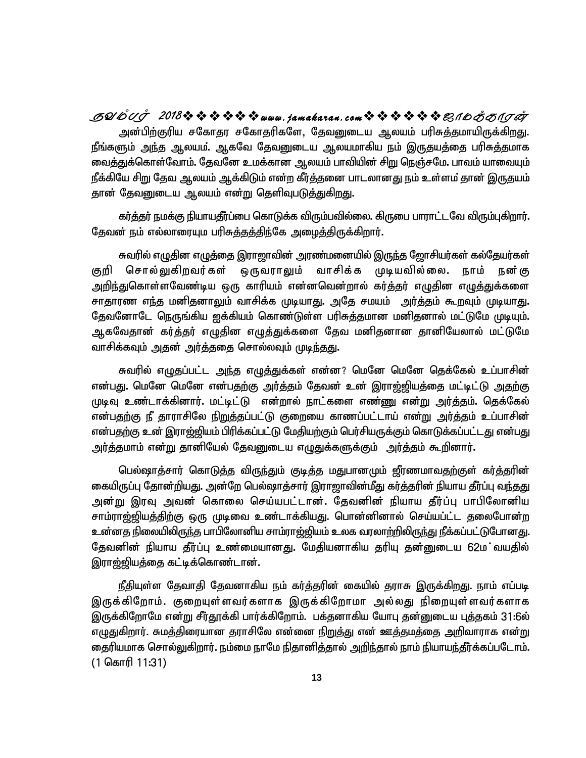அன்பிற்குரிய சகோதர சகோதரிகளே, தேவனுடைய ஆலயம் பரிசுத்தமாயிருக்கிறது. நீங்களும் அந்த ஆலயம். ஆகவே தேவனுடைய ஆலயமாகிய நம் இருதயத்தை பரிசுத்தமாக வைத்துக்கொள்வோம். தேவனே உமக்கான ஆலயம் பாவியின் சிறு நெஞ்சமே. பாவம் யாவையும் நீக்கியே சிறு தேவ ஆலயம் ஆக்கிடும் என்ற கீர்த்தனை பாடலானது நம் உள்ளம் தான் இருதயம் தான் தேவனுடைய ஆலயம் என்று தெளிவுபட<u>ுத்து</u>கிறது. **SYmTo 2018www .jamakaran.c om\_ôUdLôWu**

கர்த்தர் நமக்கு நியாயதீர்ப்பை கொடுக்க விரும்பவில்லை. கிருபை பாராட்டவே விரும்புகிறார். தேவன் நம் எல்லாரையும பரிசுத்தத்திந்கே அழைத்திருக்கிறார்.

சுவரில் எழுதின எழுத்தை இராஜாவின் அரண்மனையில் இருந்த ஜோசியர்கள் கல்தேயர்கள் குறி சொல்லுகிறவர்கள் ஒருவராலும் வாசிக்க முடியவில்லை. நாம் நன்கு அறிந்துகொள்ளவேண்டிய ஒரு காரியம் என்னவென்றால் கர்த்தர் எழுதின எழுத்துக்களை சாதாரண எந்த மனிதனாலும் வாசிக்க முடியாது. அதே சமயம் அர்த்தம் கூறவும் முடியாது. தேவனோடே நெருங்கிய ஐக்கியம் கொண்டுள்ள பரிசுத்தமான மனிதனால் மட்டுமே முடியும். ஆகவேதான் கர்த்தர் எழுதின எழுத்துக்களை தேவ மனிதனான தானியேலால் மட்டுமே வாசிக்கவும் அதன் அர்த்ததை சொல்லவும் முடிந்தது.

சுவரில் எழுதப்பட்ட அந்த எழுத்துக்கள் என்ன? மெனே மெனே தெக்கேல் உப்பாசின் என்பது. மெனே மெனே என்பதற்கு அர்த்தம் தேவன் உன் இராஜ்ஜியத்தை மட்டிட்டு <u>அத</u>ற்கு முடிவு உண்டாக்கினார். மட்டிட்டு என்றால் நாட்களை எண்ணு என்று அர்த்தம். தெக்கேல் என்பதற்கு நீ தாராசிலே <u>நிறுத்த</u>ப்பட்டு குறையை காணப்பட்டாய் என்று அர்த்தம் உப்பாசின் என்பதற்கு உன் இராஜ்ஜியம் பிரிக்கப்பட்டு மேதியற்கும் பெர்சியருக்கும் கொடுக்கப்பட்டது என்பது அர்த்தமாம் என்று தானியேல் தேவனுடைய எழுதுக்களுக்கும் அர்த்தம் கூறினார்.

பெல்ஷாத்சார் கொடுத்த விருந்தும் குடித்த மதுபானமும் ஜீரணமாவதற்குள் கர்த்தரின் கையிருப்பு தோன்றியது. அன்றே பெல்ஷாத்சார் இராஜாவின்மீது கர்த்தரின் நியாய தீர்ப்பு வந்தது அன்று இரவு அவன் கொலை செய்யபட்டான். தேவனின் நியாய தீர்ப்பு பாபிலோனிய சாம்ராஜ்ஜியத்திற்கு ஒரு முடிவை உண்டாக்கியது. பொன்னினால் செய்யப்ட்ட தலைபோன்ற உன்னத நிலையிலிருந்த பாபிலோனிய சாம்ராஜ்ஜியம் உலக வரலாற்றிலிருந்து நீக்கப்பட்டுபோனது. தேவனின் நியாய தீர்ப்பு உண்மையானது. மேதியனாகிய தரியு தன்னுடைய 62ம்வயதில் இராஜ்ஜியத்தை கட்டிக்கொண்டான்.

நீதியுள்ள தேவாதி தேவனாகிய நம் கர்த்தரின் கையில் தராசு இருக்கிறது. நாம் எப்படி இருக்கிறோம். குறையுள்ளவர்களாக இருக்கிறோமா அல்லது நிறையுள்ளவர்களாக இருக்கிறோமே என்று சீர்தூக்கி பார்க்கிறோம். பக்குனாகிய யோபு தன்னுடைய புத்தகம் 31:6ல் எழுதுகிறார். சுமத்திரையான தராசிலே என்னை <u>நிறுத்து</u> என் ஊத்தமத்தை அறிவாராக என்று தைரியமாக சொல்லுகிறார். நம்மை நாமே நிதானித்தால் அறிந்தால் நாம் நியாயந்தீர்க்கப்படோம். (1 கொரி 11:31)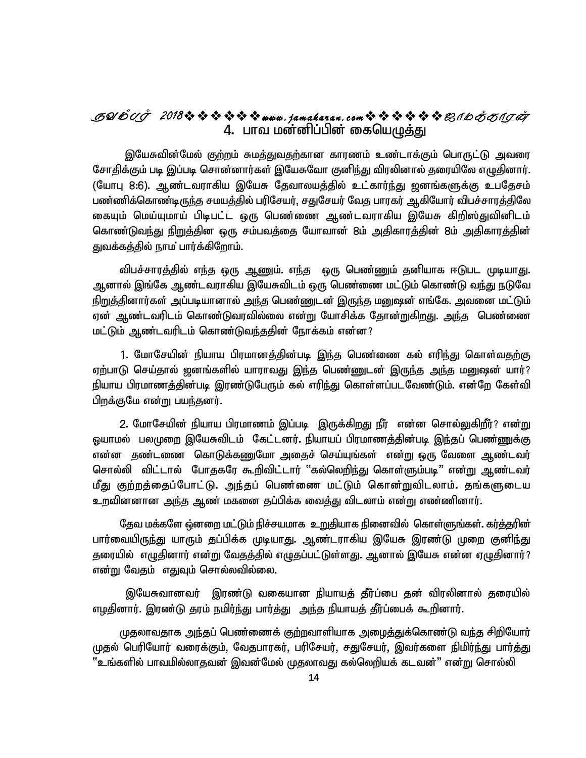### 4. பாவ மன்னிப்பின் கையெழுத்து **SYmTo 2018www .jamakaran.c om\_ôUdLôWu**

இயேசுவின்மேல் குற்றம் சுமத்துவதற்கான காரணம் உண்டாக்கும் பொருட்டு அவரை சோதிக்கும் படி இப்படி சொன்னார்கள் இயேசுவோ குனிந்து விரலினால் தரையிலே எழுதினார். (யோபு 8:6). ஆண்டவராகிய இயேசு தேவாலயத்தில் உட்கார்ந்து ஜனங்களுக்கு உபதேசம் பண்ணிக்கொண்டிருந்த சமயத்தில் பரிசேயர், சதுசேயர் வேத பாரகர் ஆகியோர் விபச்சாரத்திலே கையும் மெய்யுமாய் பிடிபட்ட ஒரு பெண்ணை ஆண்டவராகிய இயேசு கிறிஸ்துவினிடம் கொண்டுவந்து நிறுத்தின ஒரு சம்பவத்தை யோவான் 8ம் அதிகாரத்தின் 8ம் அதிகாரத்தின் துவக்கத்தில் நாம பார்க்கிறோம்.

விபச்சாரத்தில் எந்த ஒரு ஆணும். எந்த ஒரு பெண்ணும் தனியாக ஈடுபட முடியாது. ஆனால் இங்கே ஆண்டவராகிய இயேசுவிடம் ஒரு பெண்ணை மட்டும் கொண்டு வந்து நடுவே நிறுத்தினார்கள் அப்படியானால் அந்த பெண்ணுடன் இருந்த மனுஷன் எங்கே. அவனை மட்டும் ஏன் ஆண்டவரிடம் கொண்டுவரவில்லை என்று யோசிக்க தோன்றுகிறது. <u>அந்</u>த பெண்ணை மட்டும் ஆண்டவரிடம் கொண்டுவந்ததின் நோக்கம் என்ன?

1. மோசேயின் நியாய பிரமானத்தின்படி இந்த பெண்ணை கல் எரிந்து கொள்வதற்கு ஏற்பாடு செய்தால் ஜனங்களில் யாராவது இந்த பெண்ணுடன் இருந்த அந்த மனுஷன் யார்? நியாய பிரமாணத்தின்படி இரண்டுபேரும் கல் எரிந்து கொள்ளப்படவேண்டும். என்றே கேள்வி பிறக்குமே என்று பயந்தனர்.

2. மோசேயின் நியாய பிரமாணம் இப்படி இருக்கிறது நீர் என்ன சொல்லுகிறீர்? என்று ஒயாமல் பலமுறை இயேசுவிடம் கேட்டனர். நியாயப் பிரமாணத்தின்படி இந்தப் பெண்ணுக்கு என்ன தண்டணை கொடுக்கணுமோ அதைச் செய்யுங்கள் என்று ஒரு வேளை ஆண்டவர் சொல்லி விட்டால் போதகரே கூறிவிட்டார் "கல்லெறிந்து கொள்ளும்படி" என்று ஆண்டவர் மீது குற்றத்தைப்போட்டு. அந்தப் பெண்ணை மட்டும் கொன்றுவிடலாம். தங்களுடைய உறவினனான அந்த ஆண் மகனை தப்பிக்க வைத்து விடலாம் என்று எண்ணினார்.

<u>தே</u>வ மக்களே ஒ்னறை மட்டும் நிச்சயமாக உறுதியாக நினைவில் கொள்ளுங்கள். கர்த்தரின் பார்வையிருந்து யாரும் தப்பிக்க முடியாது. ஆண்டராகிய இயேசு இரண்டு முறை குனிந்து தரையில் எழுதினார் என்று வேதத்தில் எழுதப்பட்டுள்ளது. ஆனால் இயேசு என்ன ஏழுதினார்? என்று வேகும் எதுவும் சொல்லவில்லை.

இயேசுவானவர் இரண்டு வகையான நியாயத் தீர்ப்பை தன் விரலினால் தரையில் எழதினார். இரண்டு தரம் நமிர்ந்து பார்த்து அந்த நியாயத் தீர்ப்பைக் கூறினார்.

முதலாவதாக அந்தப் பெண்ணைக் குற்றவாளியாக அழைத்துக்கொண்டு வந்த சிறியோர் முதல் பெரியோர் வரைக்கும், வேதபாரகர், பரிசேயர், சதுசேயர், இவர்களை நிமிர்<u>ந்து</u> பார்<u>க்கு</u>  $\cdot$ "உங்களில் பாவமில்லாதவன் இவன்மேல் முதலாவது கல்லெறியக் கடவன் $\cdot$ " என்று சொல்லி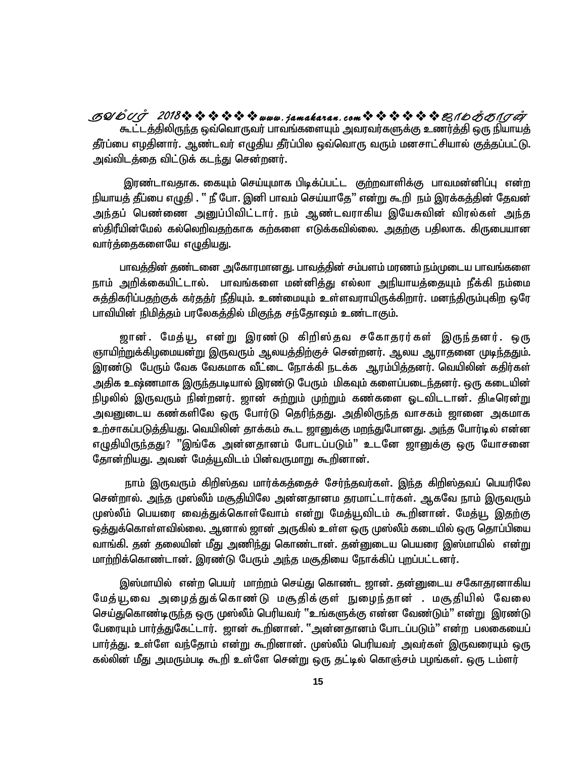கூட்டத்திலிருந்த ஒவ்வொருவர் பாவங்களையும் அவரவர்களுக்கு உணர்த்தி ஒரு நியாயத் தீர்ப்பை எழதினார். ஆண்டவர் எழுதிய தீர்ப்பில ஒவ்வொரு வரும் மனசாட்சியால் குத்தப்பட்டு. அவ்விடக்கை விட்டுக் கடந்து சென்றனர். **SYmTo 2018www .jamakaran.c om\_ôUdLôWu**

இரண்டாவதாக. கையும் செய்யுமாக பிடிக்ப்பட்ட குற்றவாளிக்கு பாவமன்னிப்பு என்ற நியாயத் தீப்பை எழுதி . '' நீ போ. இனி பாவம் செய்யாதே" என்று கூறி நம் இரக்கத்தின் தேவன் அந்தப் பெண்ணை அனுப்பிவிட்டார். நம் ஆண்டவராகிய இயேசுவின் விரல்கள் அந்த ஸ்திரீயின்மேல் கல்லெறிவதற்காக கற்களை எடுக்கவில்லை. அதற்கு பதிலாக. கிருபையான வார்க்கைகளையே எழுகியது.

பாவத்தின் தண்டனை அகோரமானது. பாவத்தின் சம்பளம் மரணம் நம்முடைய பாவங்களை நாம் அறிக்கையிட்டால். பாவங்களை மன்னித்து எல்லா அநியாயத்தையும் நீக்கி நம்மை <u>சுத்தி</u>கரிப்பதற்குக் கர்தத்ர் நீதியும். உண்மையும் உள்ளவராயிருக்கிறார். மனந்திரும்புகிற ஒரே பாவியின் நிமித்தம் பரலேகத்தில் மிகுந்த சந்தோஷம் உண்டாகும்.

ஜான். மேத்யூ, என்று இரண்டு கிறிஸ்தவ சகோதரர்கள் இருந்தனர். ஒரு ஞாயிற்றுக்கிழமையன்று இருவரும் ஆலயத்திற்குச் சென்றனர். ஆலய ஆராதனை முடிந்ததும். இரண்டு பேரும் வேக வேகமாக வீட்டை நோக்கி நடக்க ஆரம்பித்தனர். வெயிலின் கதிர்கள் அதிக உஷ்ணமாக இருந்தபடியால் இரண்டு பேரும் மிகவும் களைப்படைந்தனர். ஒரு கடையின் நிழலில் இருவரும் நின்றனர். ஜான் சுற்றும் முற்றும் கண்களை ஓடவிடடான். திடீரென்று அவனுடைய கண்களிலே ஒரு போர்டு தெரிந்தது. அதிலிருந்த வாசகம் ஜானை அகமாக உற்சாகப்படுத்தியது. வெயிலின் தாக்கம் கூட ஜானுக்கு மறந்துபோனது. அந்த போர்டில் என்ன எழுதியிருந்தது? "இங்கே அன்னதானம் போடப்படும்" உடனே ஜானுக்கு ஒரு யோசனை தோன்றியது. அவன் மேத்யூவிடம் பின்வருமாறு கூறினான்.

நாம் இருவரும் கிறிஸ்தவ மார்க்கத்தைச் சேர்ந்தவர்கள். இந்த கிறிஸ்தவப் பெயரிலே சென்றால். அந்த முஸ்லீம் மசூதியிலே அன்னதானம தரமாட்டார்கள். ஆகவே நாம் இருவரும் முஸ்லீம் பெயரை வைத்துக்கொள்வோம் என்று மேத்யூவிடம் கூறினான். மேத்யூ இதற்கு ஒத்துக்கொள்ளவில்லை. ஆனால் ஜான் அருகில் உள்ள ஒரு முஸ்லீம் கடையில் ஒரு தொப்பியை வாங்கி. தன் தலையின் மீது அணிந்து கொண்டான். தன்னுடைய பெயரை இஸ்மாயில் என்<u>று</u> மாற்றிக்கொண்டான். இரண்டு பேரும் அந்த மசூதியை நோக்கிப் புறப்பட்டனர்.

இஸ்மாயில் என்ற பெயர் மாற்றம் செய்து கொண்ட ஜான். தன்னுடைய சகோதரனாகிய மேத்யூ,வை அழைத்துக்கொண்டு மசூதிக்குள் நுழைந்தான் . மசூதியில் வேலை செய்துகொண்டிருந்த ஒரு முஸ்லீம் பெரியவர் "உங்களுக்கு என்ன வேண்டும்" என்று இரண்டு NgiuAk; ghu;j;JNfl;lhu;. [hd; \$wpdhd;. 'md;djhdk; Nghlg;gLk;" vd;w gyifiag; பார்த்து. உள்ளே வந்தோம் என்று கூறினான். முஸ்லீம் பெரியவர் அவர்கள் இருவரையும் ஒரு ்கல்லின் மீது அமரும்படி கூறி உள்ளே சென்று ஒரு தட்டில் கொஞ்சம் பழங்கள். ஒரு டம்ளர்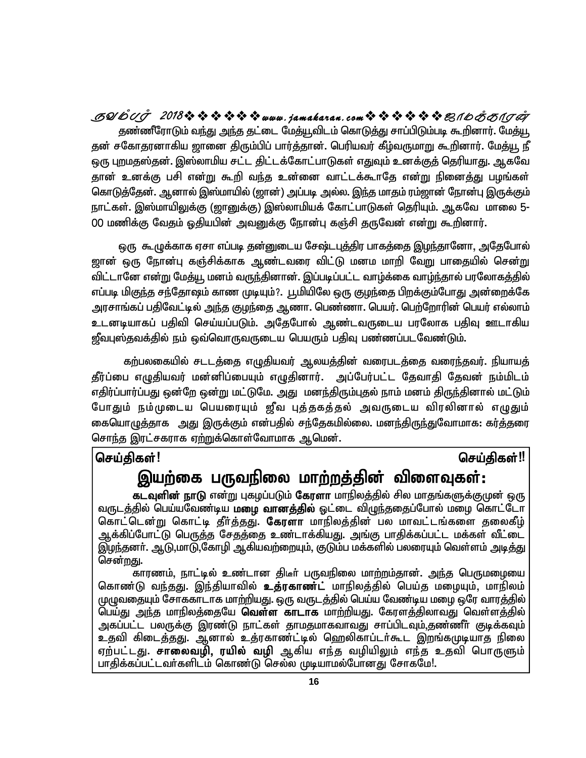தண்ணீரோடும் வந்து அந்த தட்டை மேத்யூவிடம் கொடுத்து சாப்பிடும்படி கூறினார். மேத்யூ தன் சகோதரனாகிய ஜானை திரும்பிப் பார்த்தான். பெரியவர் கீழ்வருமாறு கூறினார். மேத்யூ நீ ஒரு புறமதஸ்தன். இஸ்லாமிய சட்ட திட்டக்கோட்பாடுகள் எதுவும் உனக்குத் தெரியாது. ஆகவே தான் உனக்கு பசி என்று கூறி வந்த உன்னை வாட்டக்கூாதே என்று நினைத்து பழங்கள் கொடுத்தேன். ஆனால் இஸ்மாயில் (ஜான்) அப்படி அல்ல. இந்த மாதம் ரம்ஜான் நோன்பு இருக்கும் நாட்கள். இஸ்மாயிலுக்கு (ஜானுக்கு) இஸ்லாமியக் கோட்பாடுகள் தெரியும். ஆகவே மாலை 5-00 மணிக்கு வேதம் ஒதியபின் அவனுக்கு நோன்பு கஞ்சி தருவேன் என்று கூறினார். **SYmTo 2018www .jamakaran.c om\_ôUdLôWu**

ஒரு கூழுக்காக ஏசா எப்படி தன்னுடைய சேஷ்டபுத்திர பாகத்தை இழந்தானோ, அதேபோல் ஜான் ஒரு நோன்பு கஞ்சிக்காக ஆண்டவரை விட்டு மனம மாறி வேறு பாதையில் சென<u>்று</u> விட்டானே என்று மேத்யூ மனம் வருந்தினான். இப்படிப்பட்ட வாழ்க்கை வாழ்ந்தால் பரலோகத்தில் எப்படி மிகுந்த சந்தோஷம் காண முடியும்?. பூமியிலே ஒரு குழந்தை பிறக்கும்போது அன்றைக்கே அரசாங்கப் பதிவேட்டில் அந்த குழந்தை ஆணா. பெண்ணா. பெயர். பெற்றோரின் பெயர் எல்லாம் உடனடியாகப் பதிவி செய்யப்படும். அதேபோல் ஆண்டவருடைய பரலோக பதிவு ஊடாகிய ஜீவபுஸ்தவக்தில் நம் ஒவ்வொருவருடைய பெயரும் பதிவு பண்ணப்படவேண்டும்.

கற்பலகையில் சடடத்தை எழுதியவர் ஆலயத்தின் வரைபடத்தை வரைந்தவர். நியாயத் தீர்ப்பை எழுதியவர் மன்னிப்பையும் எழுதினார். அப்பேர்பட்ட தேவாதி தேவன் நம்மிடம் எதிர்ப்பார்ப்பது ஒன்றே ஒன்று மட்டுமே. அது மனந்திரும்புதல் நாம் மனம் திருந்தினால் மட்டும் போதும் நம்முடைய பெயரையும் ஜீவ புத்தகத்தல் அவருடைய விரலினால் எழுதும் கையொழுத்தாக அது இருக்கும் என்பதில் சந்தேகமில்லை. மனந்திருந்துவோமாக: கர்த்தரை சொந்த இரட்சகராக ஏற்றுக்கொள்வோமாக ஆமென். ் கிபல்லைக்கில் சட்டதிதை எழுதிகிகிர ஆல்கித்தின் கிரைப்டதிதை கிரைந்திகிர். நிகாகத்தி<br>ரீர்ப்பை எழுதியவர் மன்னிப்பையும் எழுதினார். அப்பேர்பட்ட தேவாதி தேவன் நம்மிடம்<br>ரீதிர்ப்பார்ப்பது ஒன்றே ஒன்று மட்டுமே. அது மனந்திரும்புதல்

## **,aw;if gUtepiy khw;wj;jpd; tpisTfs;:**

**கடவுளின் நாடு** என்று புகமப்படும் **கேரளா** மாநிலத்தில் சில மாதங்களுக்குமுன் ஒரு வருடத்தில் பெய்யவேண்டிய **மழை வானத்தில்** ஓட்டை விழுந்ததைப்போல் மழை கொட்டோ கொட்டென்று கொட்டி தீர்த்தது. **கேரளா** மாநிலத்தின் பல மாவட்டங்களை தலைகீழ் ஆக்கிப்போட்டு பெருத்த சேதத்தை உண்டாக்கியது. அங்கு பாதிக்கப்பட்ட மக்கள் வீட்டை இழந்தனா். ஆடு,மாடு,கோழி ஆகியவற்றையும், குடும்ப மக்களில் பலரையும் வெள்ளம் அடித்து சென்றது.

காரணம், நாட்டில் உண்டான திடீா் பருவநிலை மாற்றம்தான். அந்த பெருமழையை கொண்டு வந்தது. இந்தியாவில் **உத்ரகாண்ட்** மாநிலத்தில் பெய்த மழையும், மாநிலம் முழுவதையும் சோககாடாக மாற்றியது. ஒரு வருடத்தில் பெய்ய வேண்டிய மழை ஒரே வாரத்தில் பெய்து அந்த மாநிலத்தையே **வெள்ள காடாக** மாற்றியது. கேரளத்திலாவது வெள்ளத்தில் அகப்பட்ட பலருக்கு இரண்டு நாட்கள் தாமதமாகவாவது சாப்பிடவும்,தண்ணீா் குடிக்கவும் உதவி கிடைத்தது. ஆனால் உத்ரகாண்ட்டில் ஹெலிகாப்டர்கூட இறங்கமுடியாத நிலை ஏற்பட்டது. **சாலைவழி, ரயில் வழி** ஆகிய எந்த வழியிலும் எந்த உதவி பொருளும் பாதிக்கப்பட்டவர்களிடம் கொண்டு செல்ல முடியாமல்போனது சோகமே!. பெய்த மழையும், ம<br>!ண்டிய மழை ஒரே வா<br>!ளத்திலாவது வெள்<br>பிடவும்,தண்ணீா் குடி<br>உட இறங்கமுடியாத<br>உட இறங்கமுடியாத<br>! எந்த உதவி பொ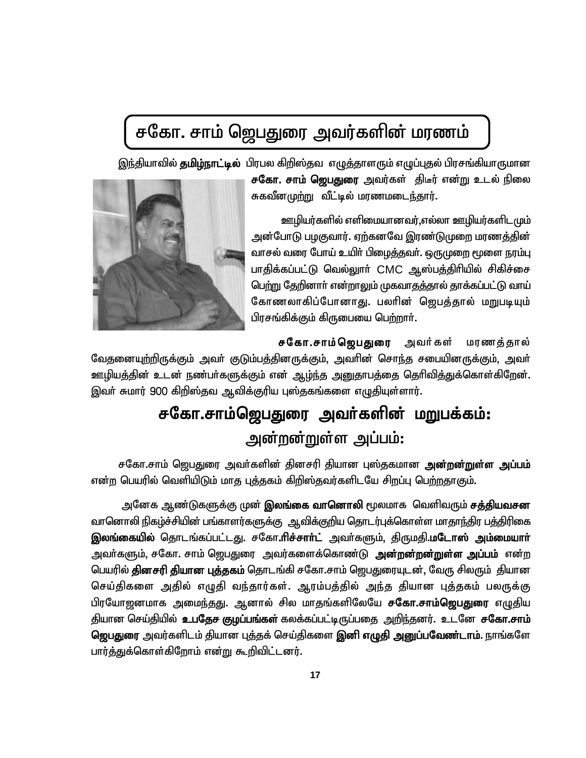## சகோ. சாம் ஜெபதுரை அவர்களின் மரணம்

இந்தியாவில் **தமிழ்நாட்டில்** பிரபல கிறிஸ்தவ எழுத்தாளரும் எழுப்புதல் பிரசங்கியாருமான



**சகோ. சாம் ஜெபதுரை** அவர்கள் திடீர் என்று உடல் நிலை சுகவீனமுற்று வீட்டில் மரணமடைந்தார்.

<u>ஊழி</u>யர்களில் எளிமையானவர்,எல்லா ஊழியர்களிடமும் அன்போடு பழகுவார். ஏற்கனவே இரண்டுமுறை மரணத்தின் வாசல் வரை போய் உயிர் பிழைத்தவர். ஒருமுறை மூளை நரம்பு பாதிக்கப்பட்டு வெல்லுார் CMC ஆஸ்பத்திரியில் சிகிச்சை பெற்று தேறினார் என்றாலும் முகவாதத்தால் தாக்கப்பட்டு வாய் கோணலாகிப்போனாது. பலரின் ஜெபத்தால் மறுபடியும் பிரசங்கிக்கும் கிருபையை பெற்றாா்.

ச**கோ.சாம்ஜெபதுரை** அவர்கள் மரணத்தால் வேதனையுற்றிருக்கும் அவா் குடும்பத்தினருக்கும், அவாின் சொந்த சபையினருக்கும், அவா் ஊழியத்தின் உடன் நண்பர்களுக்கும் என் ஆழ்ந்த அனுதாபத்தை தெரிவித்துக்கொள்கிறேன். இவர் சுமார் 900 கிறிஸ்தவ ஆவிக்குரிய புஸ்தகங்களை எழுதியுள்ளார்.

## சகோ.சாம்ஜெபதுரை அவர்களின் மறுபக்கம்: அன்றன்றுள்ள அப்பம்:

சகோ.சாம் ஜெபதுரை அவர்களின் தினசரி தியான புஸ்தகமான **அன்றன்றுள்ள அப்பம்** என்ற பெயரில் வெளியிடும் மாத புத்தகம் கிறிஸ்தவர்களிடயே சிறப்பு பெற்றதாகும்.

அனேக ஆண்டுகளுக்கு முன் <mark>இலங்கை வானொலி</mark> மூலமாக வெளிவரும் <mark>சத்தியவசன</mark> வானொலி நிகழ்ச்சியின் பங்காளர்களுக்கு ஆவிக்குறிய தொடர்புக்கொள்ள மாதாந்திர பத்திரிகை **இலங்கையில்** தொடங்கப்பட்டது. சகோ**.ரிச்சார்ட்** அவர்களும், திருமதி.**மடோஸ் அம்மையார்** அவா்களும், சகோ. சாம் ஜெபதுரை அவர்களைக்கொண்டு **அன்றன்றன்றுள்ள அப்பம்** என்ற பெயரில் **தினசரி தியான புத்தகம்** தொடங்கி சகோ.சாம் ஜெபதுரையுடன், வேரு சிலரும் தியான செய்திகளை அதில் எழுதி வந்தார்கள். ஆரம்பத்தில் அந்த தியான புத்தகம் பலருக்கு பிரயோஜனமாக அமைந்தது. ஆனால் சில மாதங்களிலேயே ச**கோ.சாம்ஜெபதுரை** எழுதிய தியான செய்தியில் **உபதேச குழப்பங்கள்** கலக்கப்பட்டிருப்பதை அறிந்தனர். உடனே **சகோ.சாம் ஜெபதுரை** அவர்களிடம் தியான புத்தக் செய்திகளை **இனி எழுதி அனுப்பவேண்டாம்**. நாங்களே பார்த்துக்கொள்கிறோம் என்று கூறிவிட்டனர்.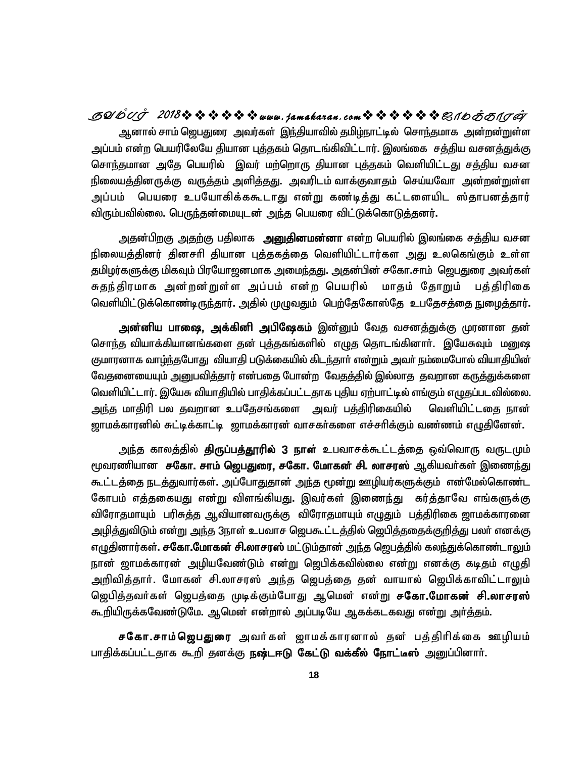ஆனால் சாம் ஜெபதுரை அவர்கள் இந்தியாவில் தமிழ்நாட்டில் சொந்தமாக அன்றன்றுள்ள அப்பம் என்ற பெயரிலேயே தியான புத்தகம் தொடங்கிவிட்டார். இலங்கை சத்திய வசனத்துக்கு சொந்தமான அதே பெயரில் இவர் மற்றொரு தியான புத்தகம் வெளியிட்டது சத்திய வசன நிலையத்தினருக்கு வருத்தம் அளித்தது. அவரிடம் வாக்குவாதம் செய்யவோ அன்றன்றுள்ள அப்பம் பெயரை உபயோகிக்ககூடாது என்று கண்டிக்து கட்டளையிட ஸ்தாபனக்தார் விரும்பவில்லை. பெருந்தன்மையுடன் அந்த பெயரை விட்டுக்கொடுத்தனர். **SYmTo 2018www .jamakaran.c om\_ôUdLôWu**

<u>அ</u>தன்பிறகு <u>அதற்கு</u> பதிலாக **அனுதினமன்னா** என்ற பெயரில் இலங்கை சத்திய வசன நிலையத்தினர் தினசரி தியான புத்தகத்தை வெளியிட்டார்கள அது உலகெங்கும் உள்ள தமிழர்களுக்கு மிகவும் பிரயோஜனமாக அமைந்தது. அதன்பின் சகோ.சாம் ஜெபதுரை அவர்கள் சுதந்திரமாக அன்றன்றுள்ள அப்பம் என்ற பெயரில் மாதம் தோறும் பத்திரிகை வெளியிட்டுக்கொண்டிருந்தார். அதில் முழுவதும் பெற்தேகோஸ்தே உபதேசத்தை நுழைத்தார்.

அன்னிய பாஷை, அக்கினி அபிஷேகம் இன்னும் வேத வசனத்துக்கு முரனான தன் சொந்த வியாக்கியானங்களை தன் புத்தகங்களில் எழுத தொடங்கினார். இயேசுவும் மறுஷ குமாரனாக வாழ்ந்தபோது வியாதி படுக்கையில் கிடந்தார் என்றும் அவர் நம்மைபோல் வியாதியின் வேதனையையும் <u>அனு</u>பவித்தார் என்பதை போன்ற வேதத்தில் இல்லாத தவறான கருத்துக்களை வெளியிட்டார். இயேசு வியாதியில் பாதிக்கப்பட்டதாக புதிய ஏற்பாட்டில் எங்கும் எழுதப்படவில்லை. அந்த மாதிரி பல தவறான உபதேசங்களை அவர் பத்திரிகையில் வெளியிட்டதை நான் ஜாமக்காரனில் சுட்டிக்காட்டி ஜாமக்காரன் வாசகர்களை எச்சரிக்கும் வண்ணம் எழுதினேன்.

அந்த காலத்தில் **திருப்பத்தூரில் 3 நாள்** உபவாசக்கூட்டத்தை ஒவ்வொரு வருடமும் ரூவரணியான ச**கோ. சாம் ஜெபதுரை, சகோ. மோகன் சி. லாசரஸ்** ஆகியவர்கள் இணைந்து <u>கூட்டத்தை நடத்து</u>வார்கள். அப்போதுதான் <u>அந்த</u> மூன்று ஊழியர்களுக்கும் என்மேல்கொண்ட கோபம் எத்தகையது என்று விளங்கியது. இவர்கள் இணைந்து கர்த்தாவே எங்களுக்கு விரோதமாயும் பரிசுத்த ஆவியானவருக்கு விரோதமாயும் எழுதும் பத்திரிகை ஜாமக்காரனை <u>அழித்துவிடும் என்று அந்த 3நாள் உபவாச ஜெபகூட்டத்தில் ஜெபித்ததைக்குறித்து பலர் எனக்கு</u> எழுதினார்கள். **சகோ.மோகன் சி.லாசரஸ்** மட்டும்தான் அந்த ஜெபத்தில் கலந்துக்கொண்டாலும் நான் ஜாமக்காரன் அழியவேண்டும் என்று ஜெபிக்கவில்லை என்று எனக்கு கடிதம் எழுதி அறிவித்தார். மோகன் சி.லாசரஸ் அந்த ஜெபத்தை தன் வாயால் ஜெபிக்காவிட்டாலும் <u>ஜெபித்த</u>வர்கள் ஜெபத்தை முடிக்கும்போது ஆமென் என்று **சகோ.மோகன் சி.லாசரஸ்** கூறியிருக்கவேண்டுமே. ஆமென் என்றால் அப்படியே ஆகக்கடகவது என்று அர்த்தம்.

**சகோ.சாம்ஜெபதுரை** அவர்கள் ஜாமக்காரனால் தன் பத்திரிக்கை ஊழியம் பாதிக்கப்பட்டதாக கூறி தனக்கு **நஷ்டஈடு கேட்டு வக்கீல் நோட்டீஸ்** அனுப்பினார்.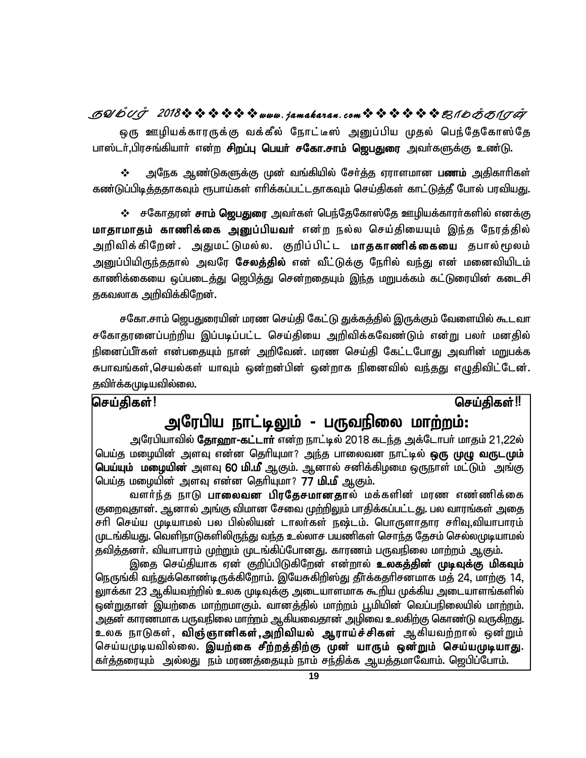## GQ/DUJ 2018なななななななwww.jamakaran.comなななななほ思イDHAJA

ஒரு ஊழியக்காரருக்கு வக்கீல் நோட்டீஸ் அனுப்பிய முதல் பெந்தேகோஸ்தே பாஸ்டர்,பிரசங்கியார் என்ற சிறப்பு பெயர் சகோ.சாம் ஜெபதுரை அவர்களுக்கு உண்டு.

 $\frac{1}{2}$ அநேக ஆண்டுகளுக்கு முன் வங்கியில் சோ்த்த ஏராளமான **பணம்** அதிகாாிகள் கண்டுப்பிடித்ததாகவும் ரூபாய்கள் எரிக்கப்பட்டதாகவும் செய்திகள் காட்டுத்தீ போல் பரவியது.

❖ சகோதரன் சாம் ஜெபதுரை அவர்கள் பெந்தேகோஸ்தே ஊழியக்காரர்களில் எனக்கு மாதாமாதம் காணிக்கை அனுப்பியவர் என்ற நல்ல செய்தியையும் இந்த நேரத்தில் அறிவிக்கிறேன். அதுமட்டுமல்ல. குறிப்பிட்ட **மாதகாணிக்கையை** தபால்மூலம் அனுப்பியிருந்ததால் அவரே **சேலத்தில்** என் வீட்டுக்கு நேரில் வந்து என் மனைவியிடம் காணிக்கையை ஒப்படைத்து ஜெபித்து சென்றதையும் இந்த மறுபக்கம் கட்டுரையின் கடைசி தகவலாக அறிவிக்கிறேன்.

சகோ.சாம் ஜெபதுரையின் மரண செய்தி கேட்டு துக்கத்தில் இருக்கும் வேளையில் கூடவா சகோதரனைப்பற்றிய இப்படிப்பட்ட செய்தியை அறிவிக்கவேண்டும் என்று பலர் மனதில் நினைப்பீர்கள் என்பதையும் நான் அறிவேன். மரண செய்தி கேட்டபோது அவரின் மறுபக்க சுபாவங்கள்,செயல்கள் யாவும் ஒன்றன்பின் ஒன்றாக நினைவில் வந்தது எழுதிவிட்டேன். தவிா்க்கமுடியவில்லை.

### செய்திகள்!

### செய்கிகள்‼

## அரேபிய நாட்டிலும் - பருவநிலை மாற்றம்:

அரேபியாவில் **தோஹா-கட்டாா்** என்ற நாட்டில் 2018 கடந்த அக்டோபா் மாதம் 21,22ல் பெய்த மழையின் அளவு என்ன தெரியுமா? அந்த பாலைவன நாட்டில் **ஒரு முழு வருடமும்** பெய்யும் மழையின் அளவு 60 மி.மீ ஆகும். ஆனால் சனிக்கிழமை ஒருநாள் மட்டும் அங்கு பெய்த மழையின் அளவு என்ன தெரியுமா? 77 **மி.மீ** ஆகும்.

வளர்ந்த நாடு **பாலைவன பிரதேசமானதா**ல் மக்களின் மரண எண்ணிக்கை குறைவுதான். ஆனால் அங்கு விமான சேவை முற்றிலும் பாதிக்கப்பட்டது. பல வாரங்கள் அதை சரி செய்ய முடியாமல் பல பில்லியன் டாலர்கள் நஷ்டம். பொருளாதார சரிவு,வியாபாரம் முடங்கியது. வெளிநாடுகளிலிருந்து வந்த உல்லாச பயணிகள் சொந்த தேசம் செல்லமுடியாமல் தவித்தனர். வியாபாரம் முற்றும் முடங்கிப்போனது. காரணம் பருவநிலை மாற்றம் ஆகும்.

இதை செய்தியாக ஏன் குறிப்பிடுகிறேன் என்றால் **உலகத்தின் முடிவுக்கு மிகவும்** நெருங்கி வந்துக்கொண்டிருக்கிறோம். இயேசுகிறிஸ்து தீர்க்கதரிசனமாக மத் 24, மாற்கு 14, லுாக்கா 23 ஆகியவற்றில் உலக முடிவுக்கு அடையாளமாக கூறிய முக்கிய அடையாளங்களில் ஒன்றுதான் இயற்கை மாற்றமாகும். வானத்தில் மாற்றம் பூமியின் வெப்பநிலையில் மாற்றம். அதன் காரணமாக பருவநிலை மாற்றம் ஆகியவைதான் அழிவை உலகிற்கு கொண்டு வருகி<u>றத</u>ு. உலக நாடுகள், **விஞ்ஞானிகள்,அறிவியல் ஆராய்ச்சிகள்** ஆகியவற்றால் ஒன்றும் செய்யமுடியவில்லை. இயற்கை சீற்றத்திற்கு முன் யாரும் ஒன்றும் செய்யமுடியாது. கா்த்தரையும் அல்லது நம் மரணத்தையும் நாம் சந்திக்க ஆயத்தமாவோம். ஜெபிப்போம்.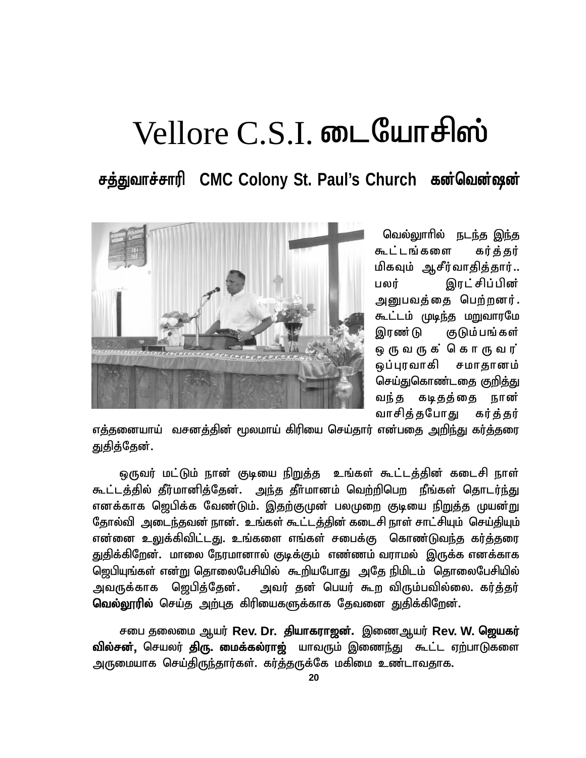# $V$ ellore C.S.I. **டையோசிஸ்**

சத்துவாச்சாரி CMC Colony St. Paul's Church கன்வென்ஷன்



வெல்லுாரில் நடந்த இந்த கூட்டங்களை கர்க்கர் மிகவும் ஆசீர்வாதித்தார்.. பலர் இரட்சிப்பின் அனுபவத்தை பெற்றனர். கூட்டம் முடிந்த மறுவாரமே இரண்டு குடும்பங்கள் பலர் இரட்சிப்பின்<br>அனுபவத்தை பெற்றனர்.<br>கூட்டம் முடிந்த மறுவாரமே<br>இரண்டு குடும்பங்கள்<br>ஒரு வருக்கொரு வர்<br>ஒப்புரவாகி சமாதானம் ஒப்புரவாகி சமாதானம் செய்துகொண்டதை குறித்து வந்த கடிதத்தை நான் வாசித்தபோது கர்த்தர்

எக்கனையாய் வசனத்தின் மூலமாய் கிரியை செய்தார் என்பதை அறி<u>ந்து</u> கர்த்தரை துதித்தேன்.

ஒருவர் மட்டும் நான் குடியை நிறுத்த உங்கள் கூட்டத்தின் கடைசி நாள் <u>கூட்டத்தில் தீர்மானித்தேன். அந்த தீர்மானம் வெற்றிபெற நீங்கள் தொடர்ந்து</u> எனக்காக ஜெபிக்க வேண்டும். இதற்குமுன் பலமுறை குடியை நிறுத்த முயன்று தோல்வி அடைந்தவன் நான். உங்கள் கூட்டத்தின் கடைசி நாள் சாட்சியும் செய்தியும் என்னை உலுக்கிவிட்டது. உங்களை எங்கள் சபைக்கு கொண்டுவந்த கர்த்தரை துதிக்கிறேன். மாலை நேரமானால் குடிக்கும் எண்ணம் வராமல் இருக்க எனக்காக <u>ஜெபியுங்கள் என்று தொலைபேசியில் கூறியபோது அதே நிமிடம் தொலைபேசியில்</u> அவருக்காக ஜெபித்தேன். அவர் தன் பெயர் கூற விரும்பவில்லை. கர்த்தர் வெல்லூரில் செய்த அற்புத கிரியைகளுக்காக தேவனை துதிக்கிறேன்.

சபை தலைமை ஆயர் Rev. Dr. தியாகராஜன். இணைஆயர் Rev. W. ஜெயகர் வில்சன், செயலர் திரு. மைக்கல்ராஜ் யாவரும் இணைந்து கூட்ட ஏற்பாடுகளை அருமையாக செய்திருந்தார்கள். கர்த்தருக்கே மகிமை உண்டாவதாக.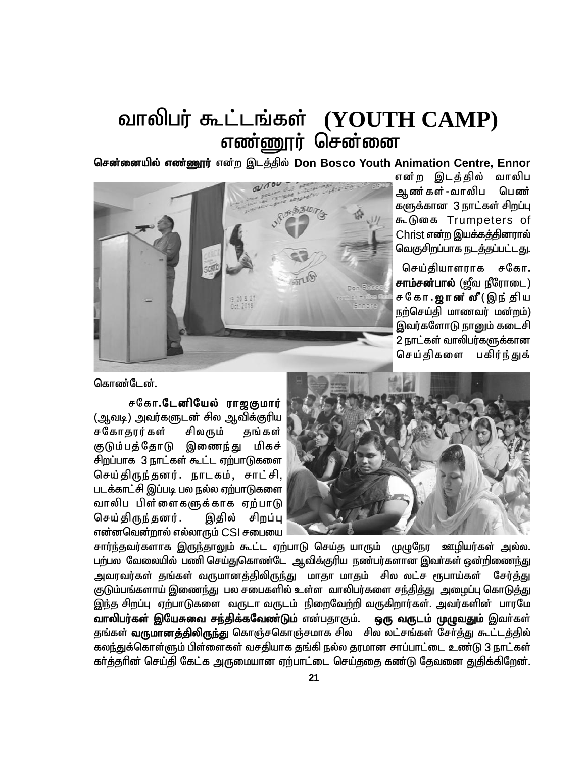## வாலிபர் கூட்டங்கள் (YOUTH CAMP) எண்ணூர் சென்னை

**சென்னையில் எண்ணூர்** என்ற இடத்தில் Don Bosco Youth Animation Centre, Ennor



என்ற இடத்தில் வாலிப ஆண்கள்-வாலிப பெண் களுக்கான 3 நாட்கள் சிறப்பு கூடுகை Trumpeters of Christ என்ற இயக்கத்தினரால் வெகுசிறப்பாக நடத்தப்பட்டது.

செய்தியாளராக சகோ. **சாம்சன்பால்** (ஜீவ நீரோடை) Christ என்ற இயக்கத்தினரால்<br>வெகுசிறப்பாக நடத்தப்பட்டது.<br>சொ**ம்சன்பால்** (ஜீவ நீரோடை)<br>**சாம்சன்பால்** (ஜீவ நீரோடை)<br>ச கோ . **ஜான் லீ** ( இந் திய<br>நற்செய்தி மாணவர் மன்றம்)<br>தெக்சனோடு சாமை் சமை மி நற்செய்தி மாணவர் மன்றம்) இவர்களோடு நானும் கடைசி 2 நாட்கள் வாலிபர்களுக்கான செய்திகளை பகிர்ந்துக்

கொண்டேன்.



குடும்பத்தோடு இணைந்து மிகச் சிறப்பாக 3 நாட்கள் கூட்ட ஏற்பாடுகளை செய்திருந்தனர். நாடகம், சாட்சி, படக்காட்சி இப்படி பல நல்ல ஏற்பாடுகளை வாலிப பிள்ளைகளுக்காக ஏற்பாடு செய்திருந்தனர். இதில் சிறப்பு என்னவென்றால் எல்லாரும் CSI சபையை

சார்ந்தவர்களாக இருந்தாலும் கூட்ட ஏற்பாடு செய்த யாரும் முழுநேர ஊழியர்கள் அல்ல. பற்பல வேலையில் பணி செய்துகொண்டே ஆவிக்குரிய நண்பர்களான இவா்கள் ஒன்றிணைந்து <u>அ</u>வரவர்கள் தங்கள் வருமானத்திலிருந்து மாதா மாதம் சில லட்ச ரூபாய்கள் சேர்த்து குடும்பங்களாய் இணைந்து பல சபைகளில் உள்ள வாலிபர்களை சந்தித்து அழைப்பு கொடுத்து இந்த சிறப்பு ஏற்பாடுகளை வருடா வருடம் நிறைவேற்றி வருகிறார்கள். அவர்களின் பாரமே வாலிபர்கள் இயேசுவை சந்திக்கவேண்டும் என்பதாகும். ஒரு வருடம் முழுவதும் இவர்கள் தங்கள் **வருமானத்திலிருந்து** கொஞ்சகொஞ்சமாக சில சில லட்சங்கள் சேர்த்து கூட்டத்தில் கலந்துக்கொள்ளும் பிள்ளைகள் வசதியாக தங்கி நல்ல தரமான சாப்பாட்டை உண்டு 3 நாட்கள் கர்த்தரின் செய்தி கேட்க அருமையான ஏற்பாட்டை செய்ததை கண்டு தேவனை துதிக்கிறேன்.

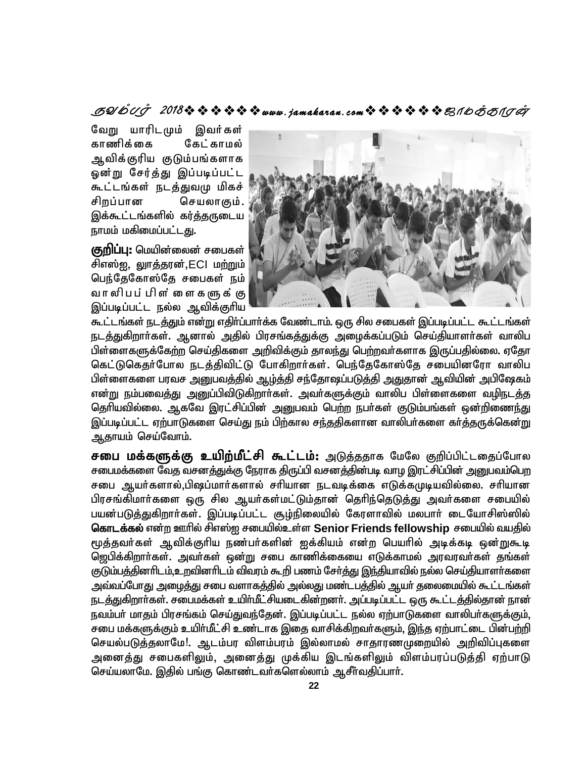### 

வேறு யாரிடமும் இவர்கள் காணிக்கை கேட் காமல் ஆவிக்குரிய குடும்பங்களாக ஓன்று சேர்த்து இப்படிப்பட்ட கூட்டங்கள் நடத்துவமு மிகச் சிறப்பான செயலாகும். இக்கூட்டங்களில் கர்த்தருடைய நாமம் மகிமைப்பட்டது.

குறிப்பு: மெயின்லைன் சபைகள் சிஎஸ்<u>ஜ,</u> லுாக்கரன்.ECl மற்றும் பெந்தேகோஸ்தே சபைகள் நம் வாலிபப் பிள் ளைகளுக் கு இப்படிப்பட்ட நல்ல ஆவிக்குரிய



கூட்டங்கள் நடத்தும் என்று எதிர்ப்பார்க்க வேண்டாம். ஒரு சில சபைகள் இப்படிப்பட்ட கூட்டங்கள் நடத்துகிறாா்கள். ஆனால் அதில் பிரசங்கத்துக்கு அழைக்கப்படும் செய்தியாளா்கள் வாலிப பிள்ளைகளுக்கேற்ற செய்திகளை அறிவிக்கும் தாலந்து பெற்றவர்களாக இருப்பதில்லை. ஏதோ கெட்டுகெதர்போல நடத்திவிட்டு போகிறார்கள். பெந்தேகோஸ்தே சபையினரோ வாலிப பிள்ளைகளை பரவச அனுபவத்தில் ஆழ்த்தி சந்தோஷப்படுத்தி அதுதான் ஆவியின் அபிஷேகம் என்று நம்பவைத்து அனுப்பிவிடுகிறார்கள். அவர்களுக்கும் வாலிப பிள்ளைகளை வழிநடத்த தெரியவில்லை. ஆகவே இரட்சிப்பின் அனுபவம் பெற்ற நபர்கள் குடும்பங்கள் ஒன்றிணைந்து இப்படிப்பட்ட ஏற்பாடுகளை செய்து நம் பிற்கால சந்ததிகளான வாலிபர்களை கர்த்தருக்கென்று ஆதாயம் செய்வோம்.

சபை மக்களுக்கு உயிற்மீட்சி கூட்டம்: அடுத்ததாக மேலே குறிப்பிட்டதைப்போல சபைமக்களை வேத வசனத்துக்கு நேராக திருப்பி வசனத்தின்படி வாழ இரட்சிப்பின் அனுபவம்பெற சபை ஆயர்களால்,பிஷப்மார்களால் சரியான நடவடிக்கை எடுக்கமுடியவில்லை. சரியான பிரசங்கிமார்களை ஒரு சில ஆயர்கள்மட்டும்தான் தெரிந்தெடுத்து அவர்களை சபையில் பயன்படுத்துகிறார்கள். இப்படிப்பட்ட சூழ்நிலையில் கேரளாவில் மலபார் டையோசிஸ்ஸில் கொடக்கல் என்ற ஊரில் சிஎஸ்ஐ சபையில்உள்ள Senior Friends fellowship சபையில் வயதில் மூத்தவர்கள் ஆவிக்குரிய நண்பர்களின் ஐக்கியம் என்ற பெயரில் அடிக்கடி ஒன்றுகூடி ஜெபிக்கிறார்கள். அவர்கள் ஒன்று சபை காணிக்கையை எடுக்காமல் அரவரவர்கள் தங்கள் குடும்பத்தினாிடம்,உறவினாிடம் விவரம் கூறி பணம் சோ்த்து இந்தியாவில் நல்ல செய்தியாளா்களை அவ்வப்போது அழைத்து சபை வளாகத்தில் அல்லது மண்டபத்தில் ஆயர் தலைமையில் கூட்டங்கள் நடத்துகிறார்கள். சபைமக்கள் உயிர்மீட்சியடைகின்றனர். அப்படிப்பட்ட ஒரு கூட்டத்தில்தான் நான் நவம்பர் மாதம் பிரசங்கம் செய்துவந்தேன். இப்படிப்பட்ட நல்ல ஏற்பாடுகளை வாலிபர்களுக்கும், சபை மக்களுக்கும் உயிர்மீட்சி உண்டாக இதை வாசிக்கிறவர்களும், இந்த ஏற்பாட்டை பின்பற்றி செயல்படுத்தலாமே!. ஆடம்பர விளம்பரம் இல்லாமல் சாதாரணமுறையில் அறிவிப்புகளை அனைத்து சபைகளிலும், அனைத்து முக்கிய இடங்களிலும் விளம்பரப்படுத்தி ஏற்பாடு செய்யலாமே. இதில் பங்கு கொண்டவா்களெல்லாம் ஆசீா்வதிப்பாா்.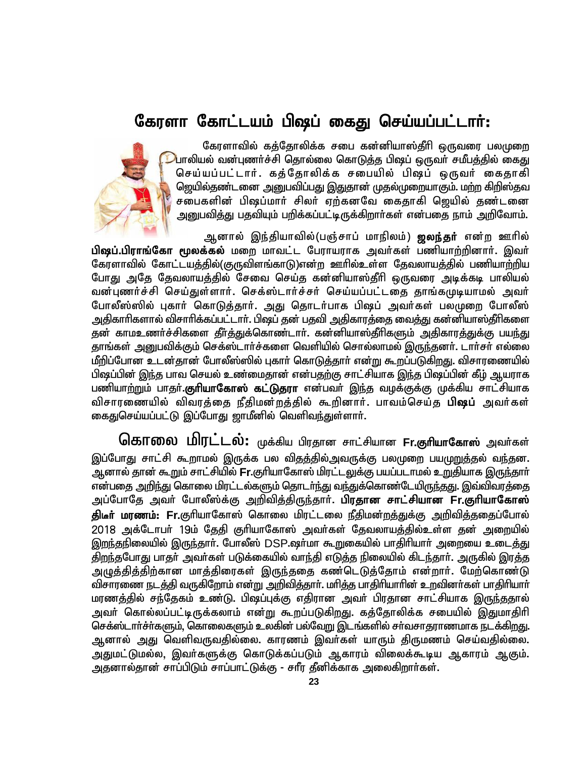## கேரளா கோட்டயம் பிஷப் கைது செய்யப்பட்டா**ர்**:

கேரளாவில் கத்தோலிக்க சபை கன்னியாஸ்தீரி ஒருவரை பலமுறை  $\mathcal{D}$ பாலியல் வன்புணர்ச்சி தொல்லை கொடுத்த பிஷப் ஒருவர் சமீபத்தில் கைது செய்யப்பட்டார். கத்தோலிக்க சபையில் பிஷப் ஒருவர் கைதாகி ஜெயில்தண்டனை அனுபவிப்பது இதுதான் முதல்முறையாகும். மற்ற கிறிஸ்தவ சபைகளின் பிஷப்மார் சிலர் ஏற்கனவே கைதாகி ஜெயில் தண்டனை அறுபவித்து பதவியும் பறிக்கப்பட்டிருக்கிறார்கள் என்பதை நாம் அறிவோம்.



ஆனால் இந்தியாவில்(பஞ்சாப் மாநிலம்) **ஜலந்தர்** என்ற ஊரில்

பி**ஷப்.பிராங்கோ மூலக்கல்** மறை மாவட்ட பேராயராக அவர்கள் பணியாற்றினார். இவர் கேரளாவில் கோட்டயத்தில்(குருவிளங்காடு)என்ற ஊரில்உள்ள தேவலாயத்தில் பணியாற்றிய போது அதே தேவலாயத்தில் சேவை செய்த கன்னியாஸ்தீரி ஒருவரை அடிக்கடி பாலியல் வன்புணர்ச்சி செய்துள்ளார். செக்ஸ்டார்ச்சர் செய்யப்பட்டதை தாங்கமுடியாமல் அவர் போலீஸ்ஸில் புகார் கொடுத்தார். அது தொடர்பாக பிஷப் அவர்கள் பலமுறை போலீஸ் அதிகாரிகளால் விசாரிக்கப்பட்டாா். பிஷப் தன் பதவி அதிகாரத்தை வைத்து கன்னியாஸ்தீரிகளை தன் காமஉணர்ச்சிகளை தீர்த்துக்கொண்டார். கன்னியாஸ்தீரிகளும் அதிகாரத்துக்கு பயந்து தாங்கள் அனுபவிக்கும் செக்ஸ்டார்ச்களை வெளியில் சொல்லாமல் இருந்தனர். டார்சர் எல்லை மீறிப்போன உடன்தான் போலீஸ்ஸில் புகார் கொடுத்தார் என்று கூறப்படுகிறது. விசாரணையில் பிஷப்பின் இந்த பாவ செயல் உண்மைதான் என்பதற்கு சாட்சியாக இந்த பிஷப்பின் கீழ் ஆயராக பணியாற்றும் பாதர்**.குரியாகோஸ் கட்டுதரா** என்பவர் இந்த வழக்குக்கு முக்கிய சாட்சியாக விசாரணையில் விவரத்தை நீதிமன்றத்தில் கூறினார். பாவம்செய்த **பிஷப்** அவர்கள் கைதுசெய்யப்பட்டு இப்போது ஜாமீனில் வெளிவந்துள்ளாா்.

கொலை மிரட்டல்: முக்கிய பிரதான சாட்சியான Fr.குரியாகோஸ் அவர்கள் இப்போது சாட்சி கூறாமல் இருக்க பல விதத்தில்அவருக்கு பலமுறை பயமுறுத்தல் வந்தன. ஆனால் தான் கூறும் சாட்சியில் **Fr.**குரியாகோஸ் மிரட்டலுக்கு பயப்படாமல் உறுதியாக இரு<u>ந்</u>தாா் என்பதை <u>அறிந்து</u> கொலை மிரட்டல்களும் தொடர்ந்து வந்துக்கொண்டேயிருந்தது. இவ்விவரத்தை அப்போதே அவா் போலீஸ்க்கு அறிவித்திருந்தாா். **பிரதான சாட்சியான Fr.குாியாகோஸ்** <mark>திடீா் மரணம்: Fr.</mark>குாியாகோஸ் கொலை மிரட்டலை நீதிமன்றத்துக்கு அறிவித்ததைப்போல் 2018 அக்டோபர் 19ம் தேதி குரியாகோஸ் அவர்கள் தேவலாயத்தில்உள்ள தன் அறையில் இறந்தநிலையில் இருந்தார். போலீஸ் DSP.ஷர்மா கூறுகையில் பாதிரியார் அறையை உடைத்து திறந்தபோது பாதர் அவர்கள் படுக்கையில் வாந்தி எடுத்த நிலையில் கிடந்தார். அருகில் இரத்த அழுத்தித்திற்கான மாத்திரைகள் இருந்ததை கண்டெடுத்தோம் என்றார். மேற்கொண்டு விசாரணை நடத்தி வருகிறோம் என்று அறிவித்தார். மரித்த பாதிரியாரின் உறவினர்கள் பாதிரியார் மரணத்தில் சந்தேகம் உண்டு. பிஷப்புக்கு எதிரான அவா் பிரதான சாட்சியாக இருந்ததால் அவர் கொல்லப்பட்டிருக்கலாம் என்று கூறப்படுகிறது. கத்தோலிக்க சபையில் இதுமாதிரி செக்ஸ்டாா்ச்ா்களும், கொலைகளும் உலகின் பல்வேறு இடங்களில் சா்வசாதராணமாக நடக்கிறது. ஆனால் அது வெளிவருவதில்லை. காரணம் இவர்கள் யாரும் திருமணம் செய்வதில்லை. அதுமட்டுமல்ல, இவர்களுக்கு கொடுக்கப்படும் ஆகாரம் விலைக்கூடிய ஆகாரம் ஆகும். அதனால்தான் சாப்பிடும் சாப்பாட்டுக்கு - சாீர தீனிக்காக அலைகிறாா்கள்.